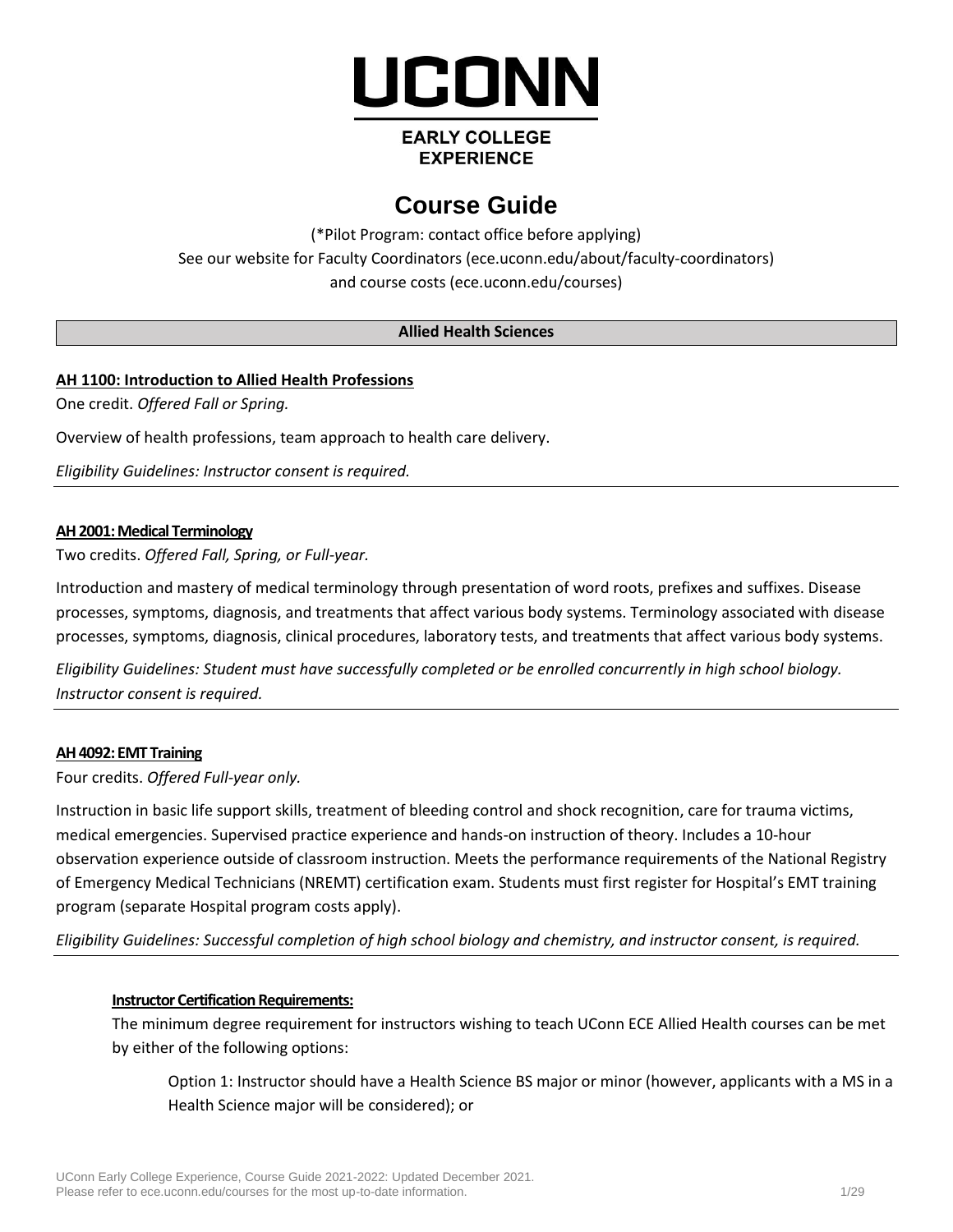

# **EARLY COLLEGE EXPERIENCE**

# **Course Guide**

(\*Pilot Program: contact office before applying) See our website for Faculty Coordinators (ece.uconn.edu/about/faculty-coordinators) and course costs [\(ece.uconn.edu/courses\)](http://www.ece.uconn.edu/courses)

# **Allied Health Sciences**

# **AH 1100: Introduction to Allied Health Professions**

One credit. *Offered Fall or Spring.*

Overview of health professions, team approach to health care delivery.

*Eligibility Guidelines: Instructor consent is required.*

#### **AH 2001: Medical Terminology**

Two credits. *Offered Fall, Spring, or Full-year.* 

Introduction and mastery of medical terminology through presentation of word roots, prefixes and suffixes. Disease processes, symptoms, diagnosis, and treatments that affect various body systems. Terminology associated with disease processes, symptoms, diagnosis, clinical procedures, laboratory tests, and treatments that affect various body systems.

*Eligibility Guidelines: Student must have successfully completed or be enrolled concurrently in high school biology. Instructor consent is required.*

#### **AH 4092: EMT Training**

Four credits. *Offered Full-year only.*

Instruction in basic life support skills, treatment of bleeding control and shock recognition, care for trauma victims, medical emergencies. Supervised practice experience and hands-on instruction of theory. Includes a 10-hour observation experience outside of classroom instruction. Meets the performance requirements of the National Registry of Emergency Medical Technicians (NREMT) certification exam. Students must first register for Hospital's EMT training program (separate Hospital program costs apply).

*Eligibility Guidelines: Successful completion of high school biology and chemistry, and instructor consent, is required.*

### **Instructor Certification Requirements:**

The minimum degree requirement for instructors wishing to teach UConn ECE Allied Health courses can be met by either of the following options:

Option 1: Instructor should have a Health Science BS major or minor (however, applicants with a MS in a Health Science major will be considered); or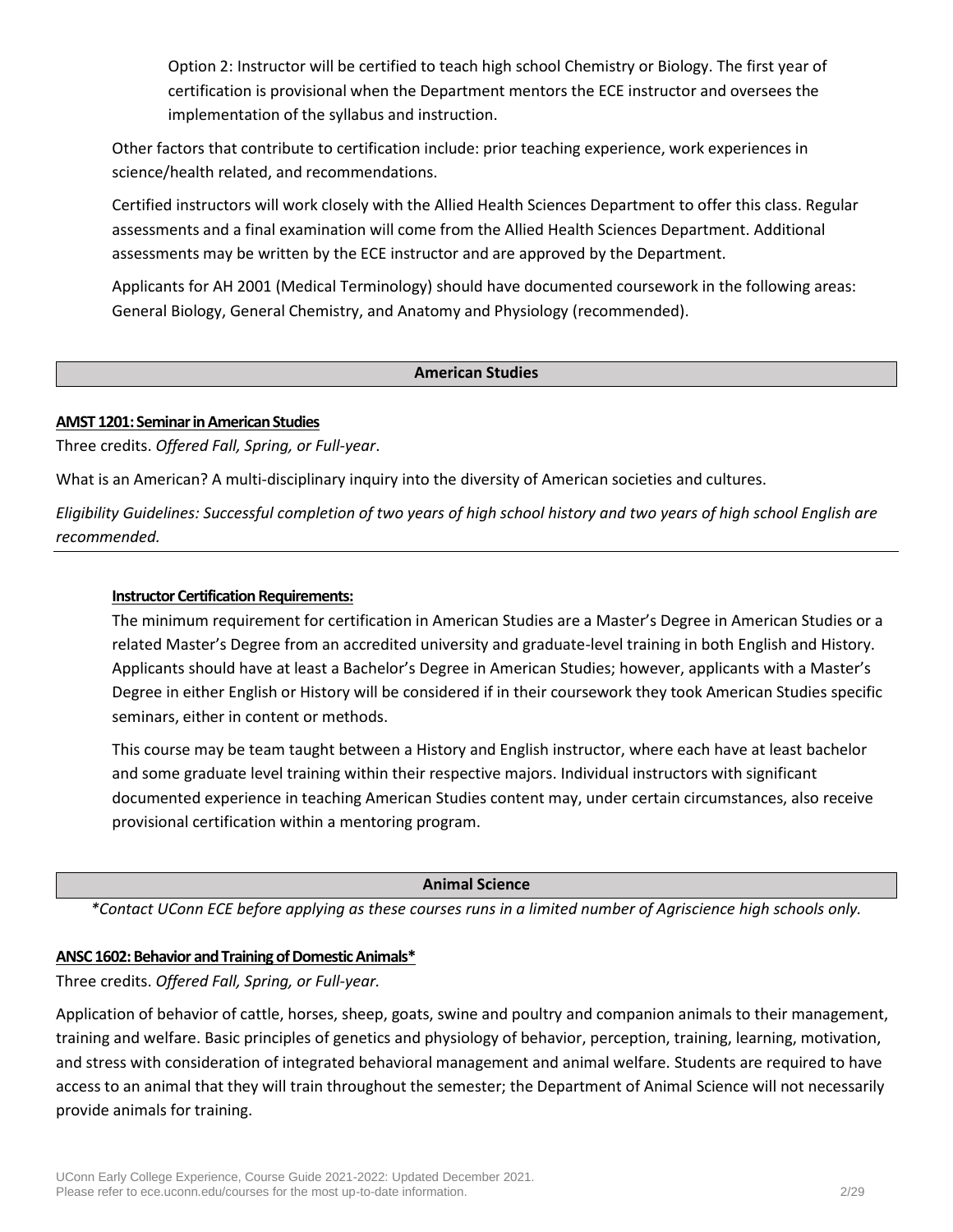Option 2: Instructor will be certified to teach high school Chemistry or Biology. The first year of certification is provisional when the Department mentors the ECE instructor and oversees the implementation of the syllabus and instruction.

Other factors that contribute to certification include: prior teaching experience, work experiences in science/health related, and recommendations.

Certified instructors will work closely with the Allied Health Sciences Department to offer this class. Regular assessments and a final examination will come from the Allied Health Sciences Department. Additional assessments may be written by the ECE instructor and are approved by the Department.

Applicants for AH 2001 (Medical Terminology) should have documented coursework in the following areas: General Biology, General Chemistry, and Anatomy and Physiology (recommended).

# **American Studies**

### **AMST 1201: Seminar in American Studies**

Three credits. *Offered Fall, Spring, or Full-year*.

What is an American? A multi-disciplinary inquiry into the diversity of American societies and cultures.

*Eligibility Guidelines: Successful completion of two years of high school history and two years of high school English are recommended.*

### **Instructor Certification Requirements:**

The minimum requirement for certification in American Studies are a Master's Degree in American Studies or a related Master's Degree from an accredited university and graduate-level training in both English and History. Applicants should have at least a Bachelor's Degree in American Studies; however, applicants with a Master's Degree in either English or History will be considered if in their coursework they took American Studies specific seminars, either in content or methods.

This course may be team taught between a History and English instructor, where each have at least bachelor and some graduate level training within their respective majors. Individual instructors with significant documented experience in teaching American Studies content may, under certain circumstances, also receive provisional certification within a mentoring program.

#### **Animal Science**

*\*Contact UConn ECE before applying as these courses runs in a limited number of Agriscience high schools only.*

### **ANSC 1602: Behavior and Training of Domestic Animals\***

Three credits. *Offered Fall, Spring, or Full-year.*

Application of behavior of cattle, horses, sheep, goats, swine and poultry and companion animals to their management, training and welfare. Basic principles of genetics and physiology of behavior, perception, training, learning, motivation, and stress with consideration of integrated behavioral management and animal welfare. Students are required to have access to an animal that they will train throughout the semester; the Department of Animal Science will not necessarily provide animals for training.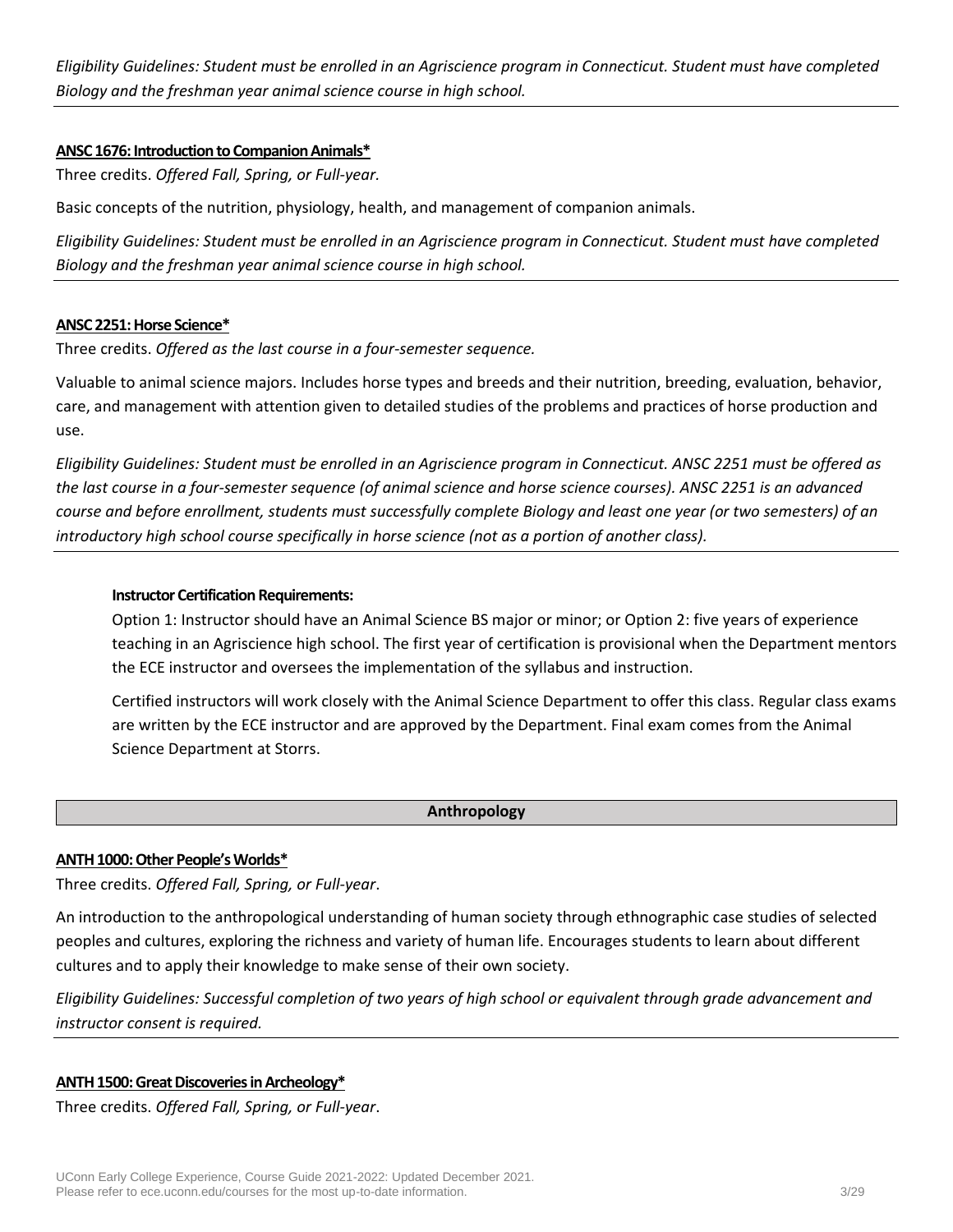*Eligibility Guidelines: Student must be enrolled in an Agriscience program in Connecticut. Student must have completed Biology and the freshman year animal science course in high school.*

#### **ANSC 1676: Introduction to Companion Animals\***

Three credits. *Offered Fall, Spring, or Full-year.*

Basic concepts of the nutrition, physiology, health, and management of companion animals.

*Eligibility Guidelines: Student must be enrolled in an Agriscience program in Connecticut. Student must have completed Biology and the freshman year animal science course in high school.*

#### **ANSC 2251: Horse Science\***

Three credits. *Offered as the last course in a four-semester sequence.*

Valuable to animal science majors. Includes horse types and breeds and their nutrition, breeding, evaluation, behavior, care, and management with attention given to detailed studies of the problems and practices of horse production and use.

*Eligibility Guidelines: Student must be enrolled in an Agriscience program in Connecticut. ANSC 2251 must be offered as the last course in a four-semester sequence (of animal science and horse science courses). ANSC 2251 is an advanced course and before enrollment, students must successfully complete Biology and least one year (or two semesters) of an introductory high school course specifically in horse science (not as a portion of another class).*

#### **Instructor Certification Requirements:**

Option 1: Instructor should have an Animal Science BS major or minor; or Option 2: five years of experience teaching in an Agriscience high school. The first year of certification is provisional when the Department mentors the ECE instructor and oversees the implementation of the syllabus and instruction.

Certified instructors will work closely with the Animal Science Department to offer this class. Regular class exams are written by the ECE instructor and are approved by the Department. Final exam comes from the Animal Science Department at Storrs.

### **Anthropology**

#### **ANTH 1000: Other People's Worlds\***

Three credits. *Offered Fall, Spring, or Full-year*.

An introduction to the anthropological understanding of human society through ethnographic case studies of selected peoples and cultures, exploring the richness and variety of human life. Encourages students to learn about different cultures and to apply their knowledge to make sense of their own society.

*Eligibility Guidelines: Successful completion of two years of high school or equivalent through grade advancement and instructor consent is required.*

#### **ANTH 1500: Great Discoveries in Archeology\***

Three credits. *Offered Fall, Spring, or Full-year*.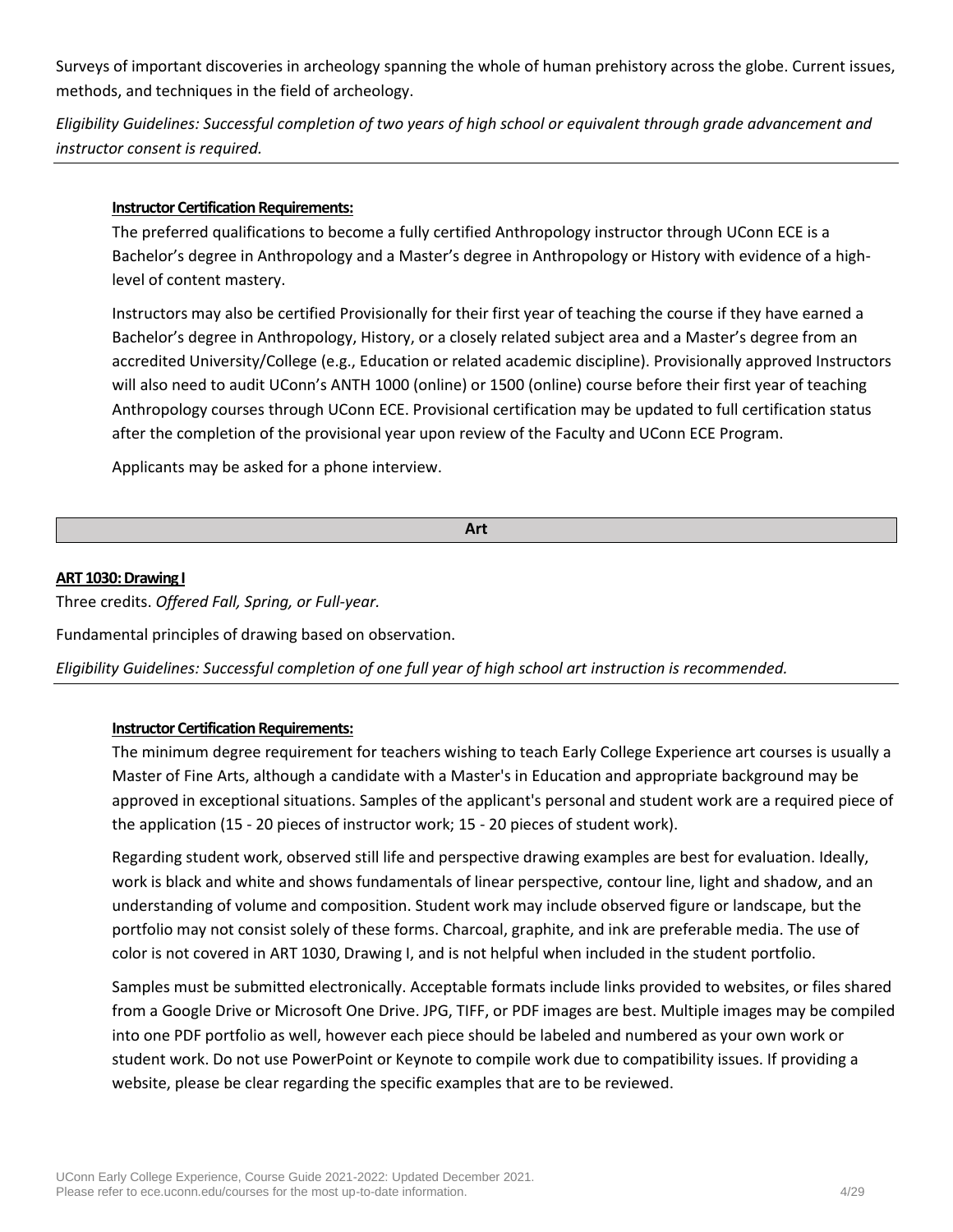Surveys of important discoveries in archeology spanning the whole of human prehistory across the globe. Current issues, methods, and techniques in the field of archeology.

*Eligibility Guidelines: Successful completion of two years of high school or equivalent through grade advancement and instructor consent is required.*

### **Instructor Certification Requirements:**

The preferred qualifications to become a fully certified Anthropology instructor through UConn ECE is a Bachelor's degree in Anthropology and a Master's degree in Anthropology or History with evidence of a highlevel of content mastery.

Instructors may also be certified Provisionally for their first year of teaching the course if they have earned a Bachelor's degree in Anthropology, History, or a closely related subject area and a Master's degree from an accredited University/College (e.g., Education or related academic discipline). Provisionally approved Instructors will also need to audit UConn's ANTH 1000 (online) or 1500 (online) course before their first year of teaching Anthropology courses through UConn ECE. Provisional certification may be updated to full certification status after the completion of the provisional year upon review of the Faculty and UConn ECE Program.

Applicants may be asked for a phone interview.

**Art**

#### **ART 1030: Drawing I**

Three credits. *Offered Fall, Spring, or Full-year.*

Fundamental principles of drawing based on observation.

*Eligibility Guidelines: Successful completion of one full year of high school art instruction is recommended.*

### **Instructor Certification Requirements:**

The minimum degree requirement for teachers wishing to teach Early College Experience art courses is usually a Master of Fine Arts, although a candidate with a Master's in Education and appropriate background may be approved in exceptional situations. Samples of the applicant's personal and student work are a required piece of the application (15 - 20 pieces of instructor work; 15 - 20 pieces of student work).

Regarding student work, observed still life and perspective drawing examples are best for evaluation. Ideally, work is black and white and shows fundamentals of linear perspective, contour line, light and shadow, and an understanding of volume and composition. Student work may include observed figure or landscape, but the portfolio may not consist solely of these forms. Charcoal, graphite, and ink are preferable media. The use of color is not covered in ART 1030, Drawing I, and is not helpful when included in the student portfolio.

Samples must be submitted electronically. Acceptable formats include links provided to websites, or files shared from a Google Drive or Microsoft One Drive. JPG, TIFF, or PDF images are best. Multiple images may be compiled into one PDF portfolio as well, however each piece should be labeled and numbered as your own work or student work. Do not use PowerPoint or Keynote to compile work due to compatibility issues. If providing a website, please be clear regarding the specific examples that are to be reviewed.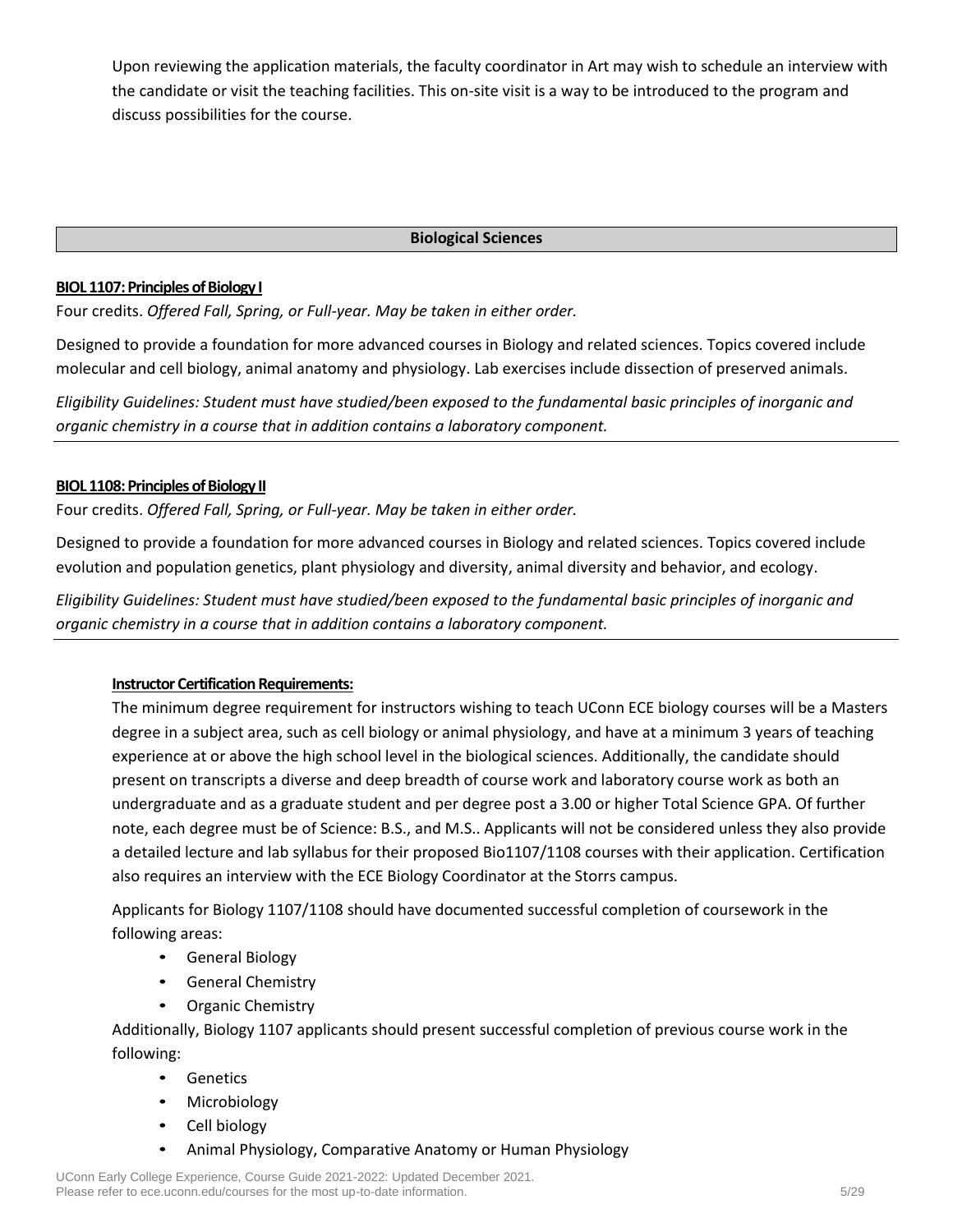Upon reviewing the application materials, the faculty coordinator in Art may wish to schedule an interview with the candidate or visit the teaching facilities. This on-site visit is a way to be introduced to the program and discuss possibilities for the course.

### **Biological Sciences**

### **BIOL 1107: Principles of Biology I**

Four credits. *Offered Fall, Spring, or Full-year. May be taken in either order.*

Designed to provide a foundation for more advanced courses in Biology and related sciences. Topics covered include molecular and cell biology, animal anatomy and physiology. Lab exercises include dissection of preserved animals.

*Eligibility Guidelines: Student must have studied/been exposed to the fundamental basic principles of inorganic and organic chemistry in a course that in addition contains a laboratory component.*

# **BIOL 1108: Principles of Biology II**

Four credits. *Offered Fall, Spring, or Full-year. May be taken in either order.*

Designed to provide a foundation for more advanced courses in Biology and related sciences. Topics covered include evolution and population genetics, plant physiology and diversity, animal diversity and behavior, and ecology.

*Eligibility Guidelines: Student must have studied/been exposed to the fundamental basic principles of inorganic and organic chemistry in a course that in addition contains a laboratory component.*

# **Instructor Certification Requirements:**

The minimum degree requirement for instructors wishing to teach UConn ECE biology courses will be a Masters degree in a subject area, such as cell biology or animal physiology, and have at a minimum 3 years of teaching experience at or above the high school level in the biological sciences. Additionally, the candidate should present on transcripts a diverse and deep breadth of course work and laboratory course work as both an undergraduate and as a graduate student and per degree post a 3.00 or higher Total Science GPA. Of further note, each degree must be of Science: B.S., and M.S.. Applicants will not be considered unless they also provide a detailed lecture and lab syllabus for their proposed Bio1107/1108 courses with their application. Certification also requires an interview with the ECE Biology Coordinator at the Storrs campus.

Applicants for Biology 1107/1108 should have documented successful completion of coursework in the following areas:

- General Biology
- General Chemistry
- Organic Chemistry

Additionally, Biology 1107 applicants should present successful completion of previous course work in the following:

- Genetics
- Microbiology
- Cell biology
- Animal Physiology, Comparative Anatomy or Human Physiology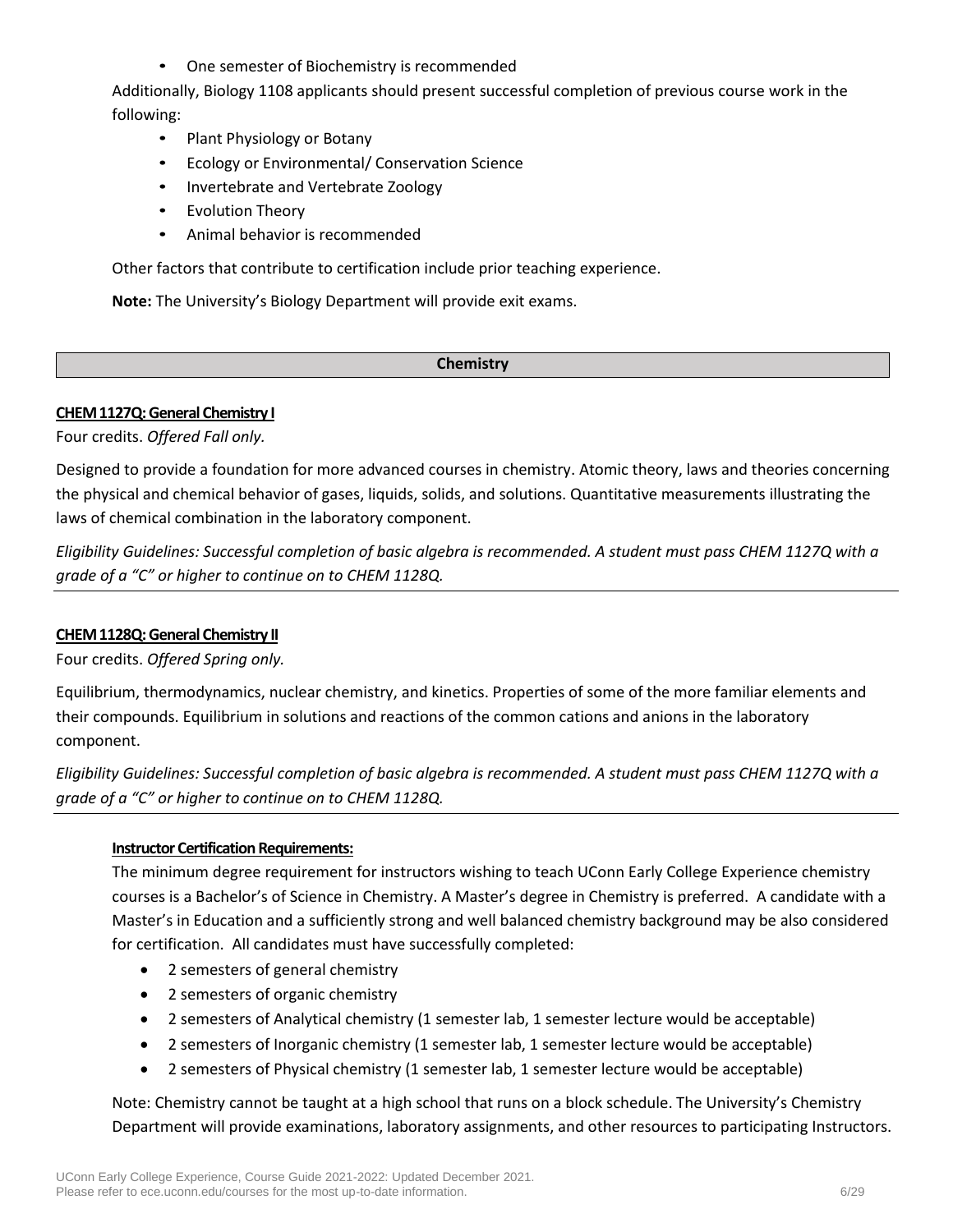• One semester of Biochemistry is recommended

Additionally, Biology 1108 applicants should present successful completion of previous course work in the following:

- Plant Physiology or Botany
- Ecology or Environmental/ Conservation Science
- Invertebrate and Vertebrate Zoology
- **Evolution Theory**
- Animal behavior is recommended

Other factors that contribute to certification include prior teaching experience.

**Note:** The University's Biology Department will provide exit exams.

### **Chemistry**

### **CHEM 1127Q: General Chemistry I**

Four credits. *Offered Fall only.*

Designed to provide a foundation for more advanced courses in chemistry. Atomic theory, laws and theories concerning the physical and chemical behavior of gases, liquids, solids, and solutions. Quantitative measurements illustrating the laws of chemical combination in the laboratory component.

*Eligibility Guidelines: Successful completion of basic algebra is recommended. A student must pass CHEM 1127Q with a grade of a "C" or higher to continue on to CHEM 1128Q.*

### **CHEM 1128Q: General Chemistry II**

Four credits. *Offered Spring only.*

Equilibrium, thermodynamics, nuclear chemistry, and kinetics. Properties of some of the more familiar elements and their compounds. Equilibrium in solutions and reactions of the common cations and anions in the laboratory component.

*Eligibility Guidelines: Successful completion of basic algebra is recommended. A student must pass CHEM 1127Q with a grade of a "C" or higher to continue on to CHEM 1128Q.*

#### **Instructor Certification Requirements:**

The minimum degree requirement for instructors wishing to teach UConn Early College Experience chemistry courses is a Bachelor's of Science in Chemistry. A Master's degree in Chemistry is preferred. A candidate with a Master's in Education and a sufficiently strong and well balanced chemistry background may be also considered for certification. All candidates must have successfully completed:

- 2 semesters of general chemistry
- 2 semesters of organic chemistry
- 2 semesters of Analytical chemistry (1 semester lab, 1 semester lecture would be acceptable)
- 2 semesters of Inorganic chemistry (1 semester lab, 1 semester lecture would be acceptable)
- 2 semesters of Physical chemistry (1 semester lab, 1 semester lecture would be acceptable)

Note: Chemistry cannot be taught at a high school that runs on a block schedule. The University's Chemistry Department will provide examinations, laboratory assignments, and other resources to participating Instructors.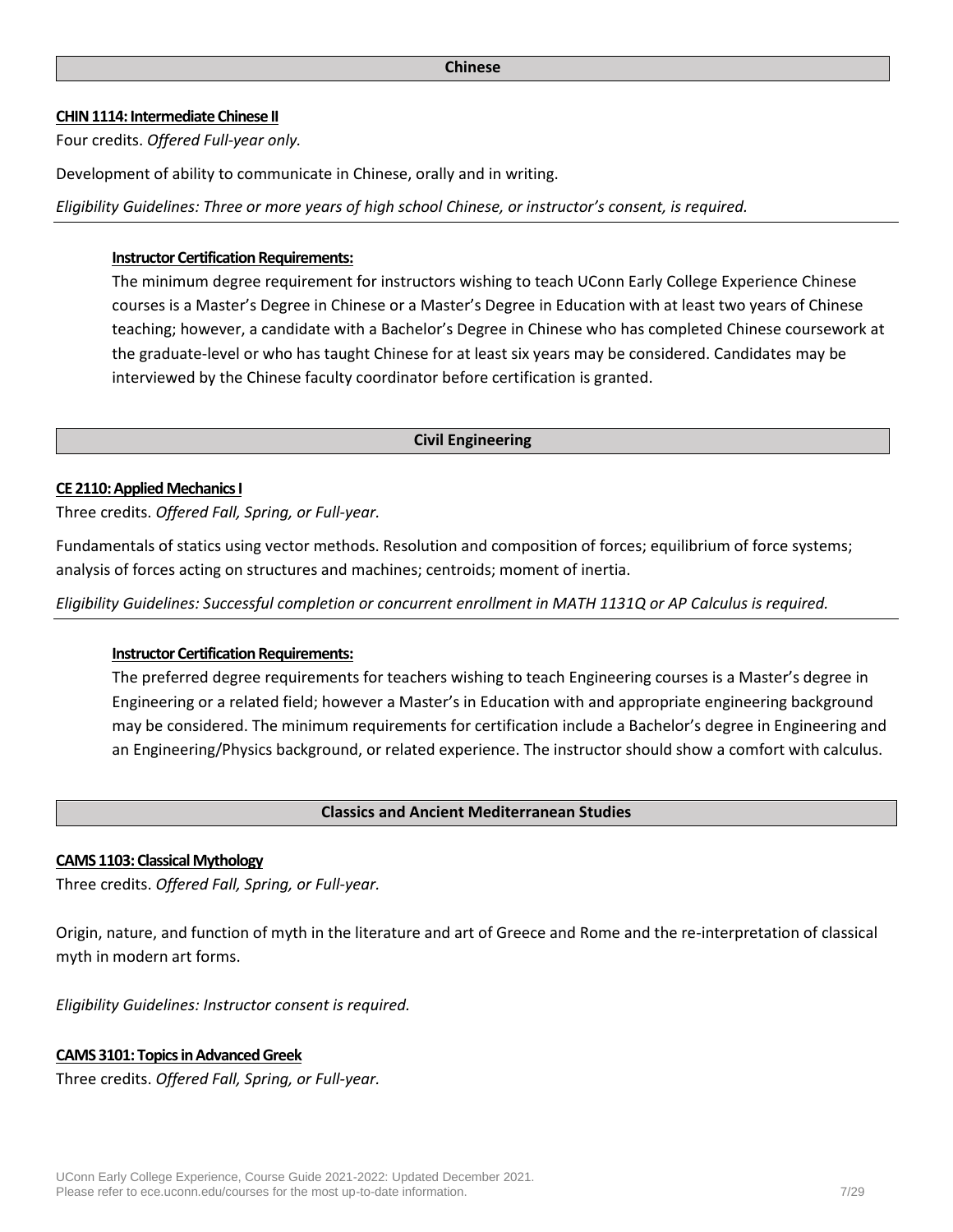#### **CHIN 1114: Intermediate Chinese II**

Four credits. *Offered Full-year only.*

Development of ability to communicate in Chinese, orally and in writing.

*Eligibility Guidelines: Three or more years of high school Chinese, or instructor's consent, is required.*

#### **Instructor Certification Requirements:**

The minimum degree requirement for instructors wishing to teach UConn Early College Experience Chinese courses is a Master's Degree in Chinese or a Master's Degree in Education with at least two years of Chinese teaching; however, a candidate with a Bachelor's Degree in Chinese who has completed Chinese coursework at the graduate-level or who has taught Chinese for at least six years may be considered. Candidates may be interviewed by the Chinese faculty coordinator before certification is granted.

#### **Civil Engineering**

#### **CE 2110: Applied Mechanics I**

Three credits. *Offered Fall, Spring, or Full-year.*

Fundamentals of statics using vector methods. Resolution and composition of forces; equilibrium of force systems; analysis of forces acting on structures and machines; centroids; moment of inertia.

*Eligibility Guidelines: Successful completion or concurrent enrollment in MATH 1131Q or AP Calculus is required.*

#### **Instructor Certification Requirements:**

The preferred degree requirements for teachers wishing to teach Engineering courses is a Master's degree in Engineering or a related field; however a Master's in Education with and appropriate engineering background may be considered. The minimum requirements for certification include a Bachelor's degree in Engineering and an Engineering/Physics background, or related experience. The instructor should show a comfort with calculus.

#### **Classics and Ancient Mediterranean Studies**

#### **CAMS 1103: Classical Mythology**

Three credits. *Offered Fall, Spring, or Full-year.*

Origin, nature, and function of myth in the literature and art of Greece and Rome and the re-interpretation of classical myth in modern art forms.

*Eligibility Guidelines: Instructor consent is required.*

#### **CAMS 3101: Topics in Advanced Greek**

Three credits. *Offered Fall, Spring, or Full-year.*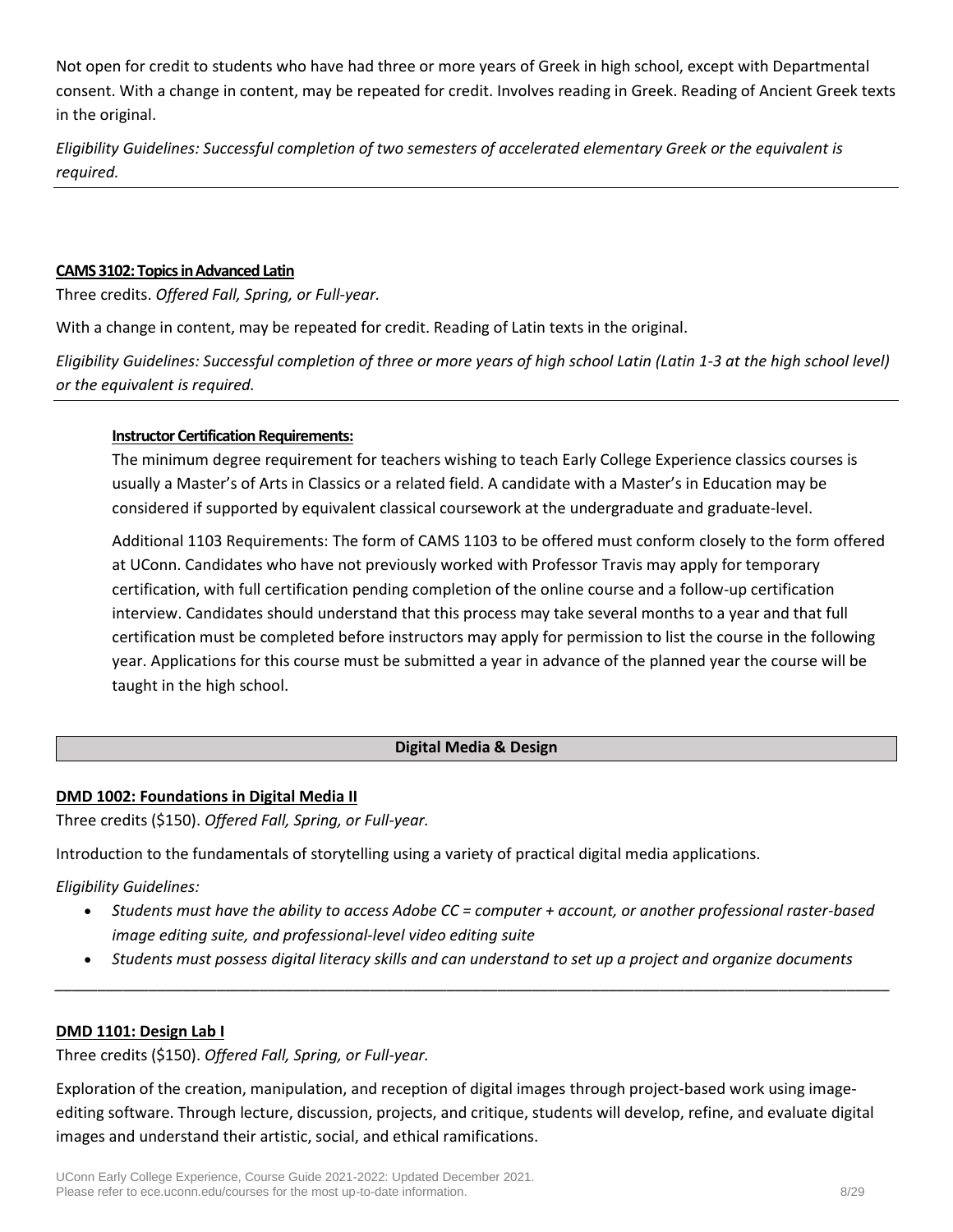Not open for credit to students who have had three or more years of Greek in high school, except with Departmental consent. With a change in content, may be repeated for credit. Involves reading in Greek. Reading of Ancient Greek texts in the original.

*Eligibility Guidelines: Successful completion of two semesters of accelerated elementary Greek or the equivalent is required.*

#### **CAMS 3102: Topics in Advanced Latin**

Three credits. *Offered Fall, Spring, or Full-year.*

With a change in content, may be repeated for credit. Reading of Latin texts in the original.

*Eligibility Guidelines: Successful completion of three or more years of high school Latin (Latin 1-3 at the high school level) or the equivalent is required.*

#### **Instructor Certification Requirements:**

The minimum degree requirement for teachers wishing to teach Early College Experience classics courses is usually a Master's of Arts in Classics or a related field. A candidate with a Master's in Education may be considered if supported by equivalent classical coursework at the undergraduate and graduate-level.

Additional 1103 Requirements: The form of CAMS 1103 to be offered must conform closely to the form offered at UConn. Candidates who have not previously worked with Professor Travis may apply for temporary certification, with full certification pending completion of the online course and a follow-up certification interview. Candidates should understand that this process may take several months to a year and that full certification must be completed before instructors may apply for permission to list the course in the following year. Applications for this course must be submitted a year in advance of the planned year the course will be taught in the high school.

### **Digital Media & Design**

### **DMD 1002: Foundations in Digital Media II**

Three credits (\$150). *Offered Fall, Spring, or Full-year.*

Introduction to the fundamentals of storytelling using a variety of practical digital media applications.

### *Eligibility Guidelines:*

- *Students must have the ability to access Adobe CC = computer + account, or another professional raster-based image editing suite, and professional-level video editing suite*
- *Students must possess digital literacy skills and can understand to set up a project and organize documents \_\_\_\_\_\_\_\_\_\_\_\_\_\_\_\_\_\_\_\_\_\_\_\_\_\_\_\_\_\_\_\_\_\_\_\_\_\_\_\_\_\_\_\_\_\_\_\_\_\_\_\_\_\_\_\_\_\_\_\_\_\_\_\_\_\_\_\_\_\_\_\_\_\_\_\_\_\_\_\_\_\_\_\_\_\_\_\_\_\_\_\_\_\_\_\_\_\_*

### **DMD 1101: Design Lab I**

Three credits (\$150). *Offered Fall, Spring, or Full-year.*

Exploration of the creation, manipulation, and reception of digital images through project-based work using imageediting software. Through lecture, discussion, projects, and critique, students will develop, refine, and evaluate digital images and understand their artistic, social, and ethical ramifications.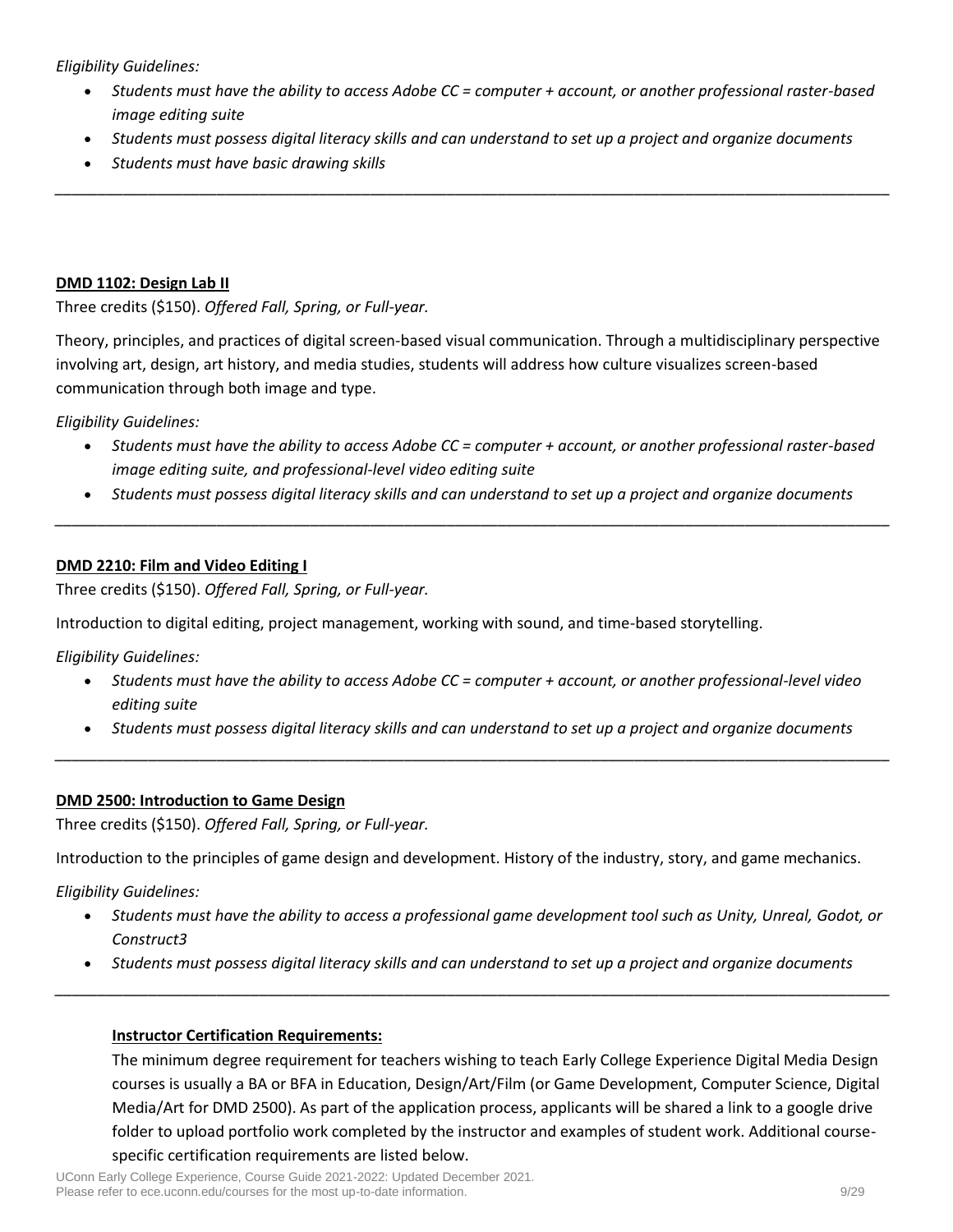*Eligibility Guidelines:*

- *Students must have the ability to access Adobe CC = computer + account, or another professional raster-based image editing suite*
- *Students must possess digital literacy skills and can understand to set up a project and organize documents*

*\_\_\_\_\_\_\_\_\_\_\_\_\_\_\_\_\_\_\_\_\_\_\_\_\_\_\_\_\_\_\_\_\_\_\_\_\_\_\_\_\_\_\_\_\_\_\_\_\_\_\_\_\_\_\_\_\_\_\_\_\_\_\_\_\_\_\_\_\_\_\_\_\_\_\_\_\_\_\_\_\_\_\_\_\_\_\_\_\_\_\_\_\_\_\_\_\_\_*

• *Students must have basic drawing skills*

### **DMD 1102: Design Lab II**

Three credits (\$150). *Offered Fall, Spring, or Full-year.*

Theory, principles, and practices of digital screen-based visual communication. Through a multidisciplinary perspective involving art, design, art history, and media studies, students will address how culture visualizes screen-based communication through both image and type.

*Eligibility Guidelines:*

- *Students must have the ability to access Adobe CC = computer + account, or another professional raster-based image editing suite, and professional-level video editing suite*
- *Students must possess digital literacy skills and can understand to set up a project and organize documents \_\_\_\_\_\_\_\_\_\_\_\_\_\_\_\_\_\_\_\_\_\_\_\_\_\_\_\_\_\_\_\_\_\_\_\_\_\_\_\_\_\_\_\_\_\_\_\_\_\_\_\_\_\_\_\_\_\_\_\_\_\_\_\_\_\_\_\_\_\_\_\_\_\_\_\_\_\_\_\_\_\_\_\_\_\_\_\_\_\_\_\_\_\_\_\_\_\_*

#### **DMD 2210: Film and Video Editing I**

Three credits (\$150). *Offered Fall, Spring, or Full-year.*

Introduction to digital editing, project management, working with sound, and time-based storytelling.

*Eligibility Guidelines:*

- *Students must have the ability to access Adobe CC = computer + account, or another professional-level video editing suite*
- *Students must possess digital literacy skills and can understand to set up a project and organize documents \_\_\_\_\_\_\_\_\_\_\_\_\_\_\_\_\_\_\_\_\_\_\_\_\_\_\_\_\_\_\_\_\_\_\_\_\_\_\_\_\_\_\_\_\_\_\_\_\_\_\_\_\_\_\_\_\_\_\_\_\_\_\_\_\_\_\_\_\_\_\_\_\_\_\_\_\_\_\_\_\_\_\_\_\_\_\_\_\_\_\_\_\_\_\_\_\_\_*

#### **DMD 2500: Introduction to Game Design**

Three credits (\$150). *Offered Fall, Spring, or Full-year.*

Introduction to the principles of game design and development. History of the industry, story, and game mechanics.

*Eligibility Guidelines:*

- *Students must have the ability to access a professional game development tool such as Unity, Unreal, Godot, or Construct3*
- *Students must possess digital literacy skills and can understand to set up a project and organize documents \_\_\_\_\_\_\_\_\_\_\_\_\_\_\_\_\_\_\_\_\_\_\_\_\_\_\_\_\_\_\_\_\_\_\_\_\_\_\_\_\_\_\_\_\_\_\_\_\_\_\_\_\_\_\_\_\_\_\_\_\_\_\_\_\_\_\_\_\_\_\_\_\_\_\_\_\_\_\_\_\_\_\_\_\_\_\_\_\_\_\_\_\_\_\_\_\_\_*

### **Instructor Certification Requirements:**

The minimum degree requirement for teachers wishing to teach Early College Experience Digital Media Design courses is usually a BA or BFA in Education, Design/Art/Film (or Game Development, Computer Science, Digital Media/Art for DMD 2500). As part of the application process, applicants will be shared a link to a google drive folder to upload portfolio work completed by the instructor and examples of student work. Additional coursespecific certification requirements are listed below.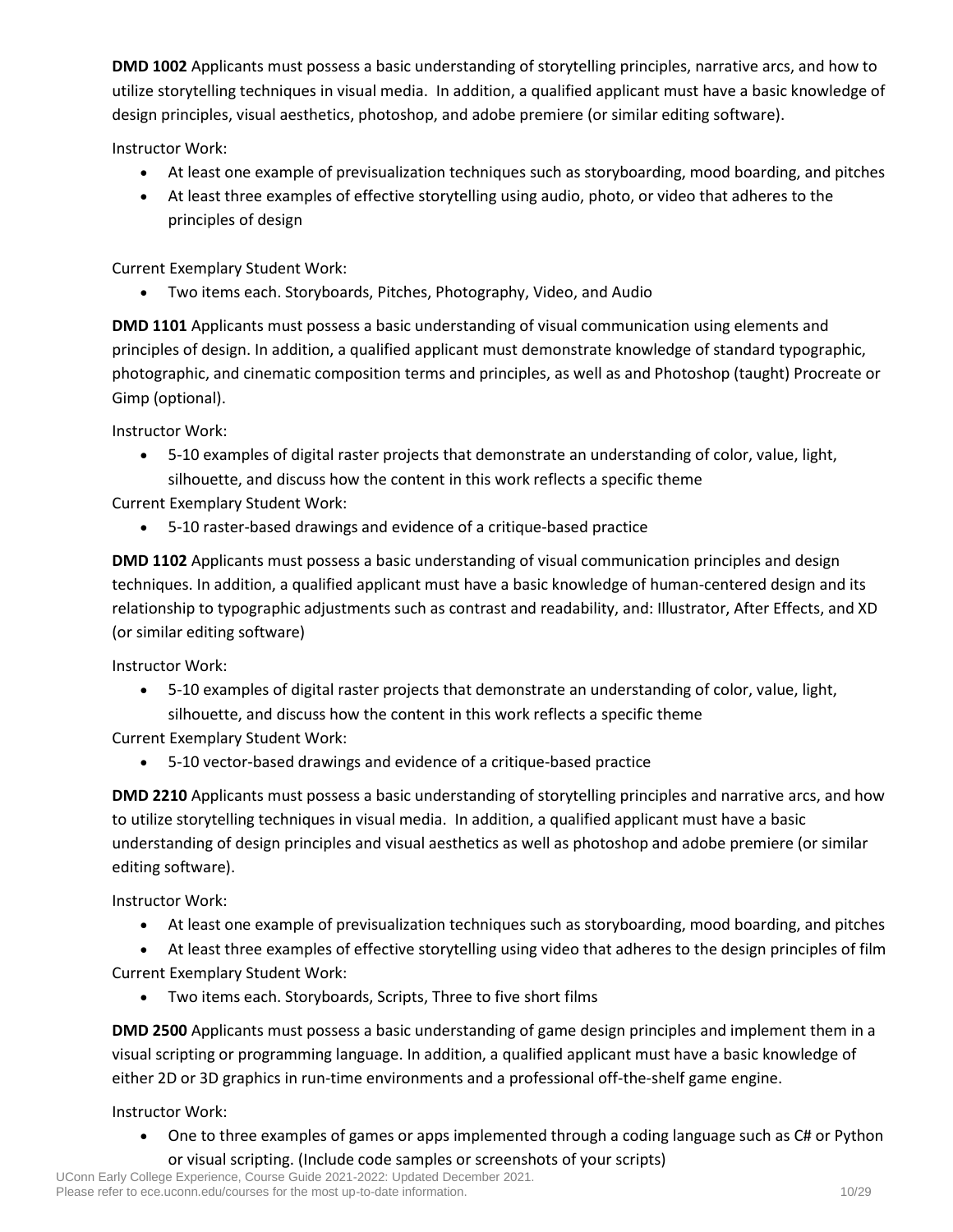**DMD 1002** Applicants must possess a basic understanding of storytelling principles, narrative arcs, and how to utilize storytelling techniques in visual media. In addition, a qualified applicant must have a basic knowledge of design principles, visual aesthetics, photoshop, and adobe premiere (or similar editing software).

Instructor Work:

- At least one example of previsualization techniques such as storyboarding, mood boarding, and pitches
- At least three examples of effective storytelling using audio, photo, or video that adheres to the principles of design

Current Exemplary Student Work:

• Two items each. Storyboards, Pitches, Photography, Video, and Audio

**DMD 1101** Applicants must possess a basic understanding of visual communication using elements and principles of design. In addition, a qualified applicant must demonstrate knowledge of standard typographic, photographic, and cinematic composition terms and principles, as well as and Photoshop (taught) Procreate or Gimp (optional).

Instructor Work:

• 5-10 examples of digital raster projects that demonstrate an understanding of color, value, light, silhouette, and discuss how the content in this work reflects a specific theme

Current Exemplary Student Work:

• 5-10 raster-based drawings and evidence of a critique-based practice

**DMD 1102** Applicants must possess a basic understanding of visual communication principles and design techniques. In addition, a qualified applicant must have a basic knowledge of human-centered design and its relationship to typographic adjustments such as contrast and readability, and: Illustrator, After Effects, and XD (or similar editing software)

Instructor Work:

• 5-10 examples of digital raster projects that demonstrate an understanding of color, value, light, silhouette, and discuss how the content in this work reflects a specific theme

Current Exemplary Student Work:

• 5-10 vector-based drawings and evidence of a critique-based practice

**DMD 2210** Applicants must possess a basic understanding of storytelling principles and narrative arcs, and how to utilize storytelling techniques in visual media. In addition, a qualified applicant must have a basic understanding of design principles and visual aesthetics as well as photoshop and adobe premiere (or similar editing software).

Instructor Work:

- At least one example of previsualization techniques such as storyboarding, mood boarding, and pitches
- At least three examples of effective storytelling using video that adheres to the design principles of film

Current Exemplary Student Work:

• Two items each. Storyboards, Scripts, Three to five short films

**DMD 2500** Applicants must possess a basic understanding of game design principles and implement them in a visual scripting or programming language. In addition, a qualified applicant must have a basic knowledge of either 2D or 3D graphics in run-time environments and a professional off-the-shelf game engine.

Instructor Work:

• One to three examples of games or apps implemented through a coding language such as C# or Python or visual scripting. (Include code samples or screenshots of your scripts)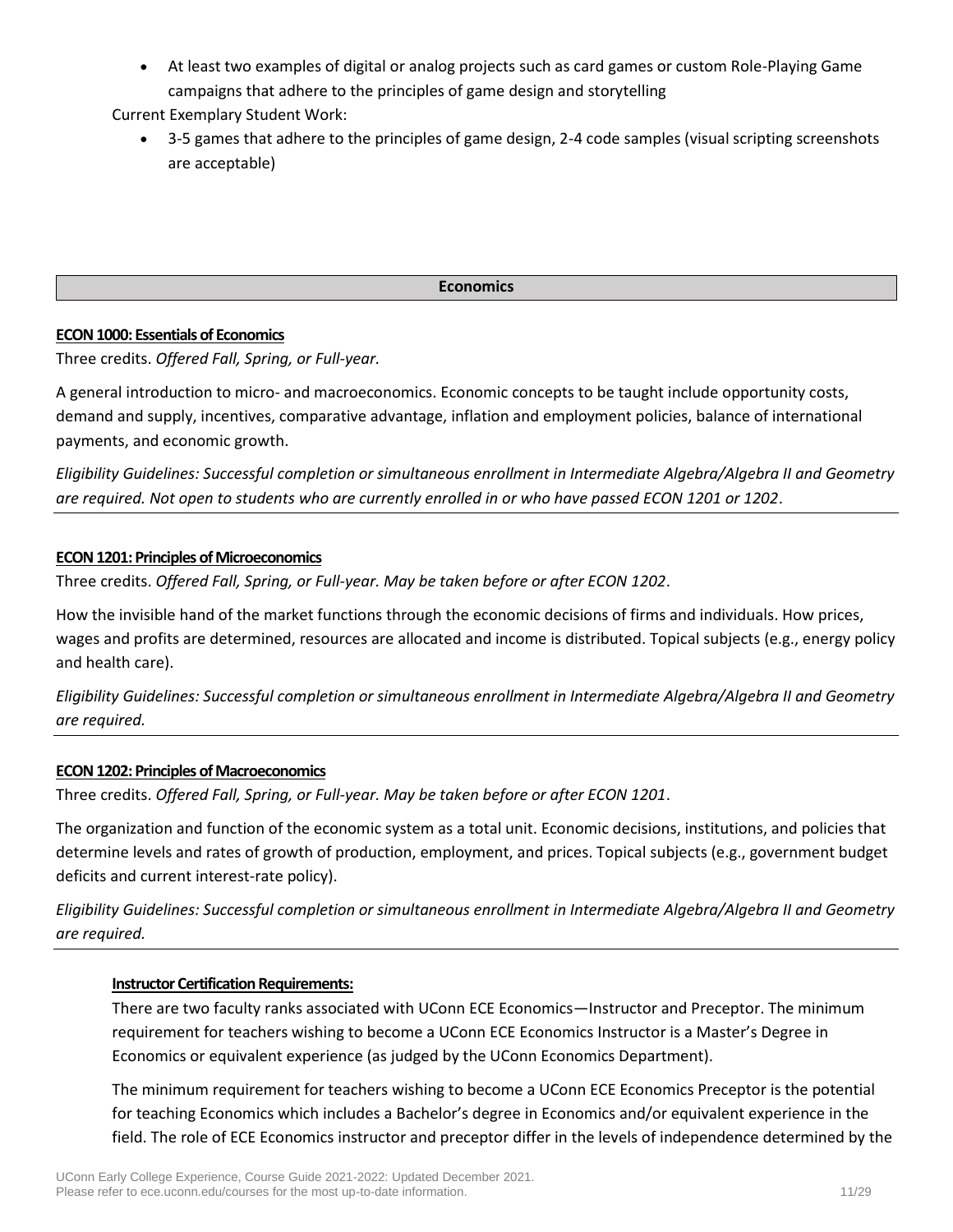• At least two examples of digital or analog projects such as card games or custom Role-Playing Game campaigns that adhere to the principles of game design and storytelling

Current Exemplary Student Work:

• 3-5 games that adhere to the principles of game design, 2-4 code samples (visual scripting screenshots are acceptable)

#### **Economics**

### **ECON 1000: Essentials of Economics**

Three credits. *Offered Fall, Spring, or Full-year.*

A general introduction to micro- and macroeconomics. Economic concepts to be taught include opportunity costs, demand and supply, incentives, comparative advantage, inflation and employment policies, balance of international payments, and economic growth.

*Eligibility Guidelines: Successful completion or simultaneous enrollment in Intermediate Algebra/Algebra II and Geometry are required. Not open to students who are currently enrolled in or who have passed ECON 1201 or 1202*.

# **ECON 1201: Principles of Microeconomics**

Three credits. *Offered Fall, Spring, or Full-year. May be taken before or after ECON 1202*.

How the invisible hand of the market functions through the economic decisions of firms and individuals. How prices, wages and profits are determined, resources are allocated and income is distributed. Topical subjects (e.g., energy policy and health care).

*Eligibility Guidelines: Successful completion or simultaneous enrollment in Intermediate Algebra/Algebra II and Geometry are required.*

### **ECON 1202: Principles of Macroeconomics**

Three credits. *Offered Fall, Spring, or Full-year. May be taken before or after ECON 1201*.

The organization and function of the economic system as a total unit. Economic decisions, institutions, and policies that determine levels and rates of growth of production, employment, and prices. Topical subjects (e.g., government budget deficits and current interest-rate policy).

*Eligibility Guidelines: Successful completion or simultaneous enrollment in Intermediate Algebra/Algebra II and Geometry are required.*

### **Instructor Certification Requirements:**

There are two faculty ranks associated with UConn ECE Economics—Instructor and Preceptor. The minimum requirement for teachers wishing to become a UConn ECE Economics Instructor is a Master's Degree in Economics or equivalent experience (as judged by the UConn Economics Department).

The minimum requirement for teachers wishing to become a UConn ECE Economics Preceptor is the potential for teaching Economics which includes a Bachelor's degree in Economics and/or equivalent experience in the field. The role of ECE Economics instructor and preceptor differ in the levels of independence determined by the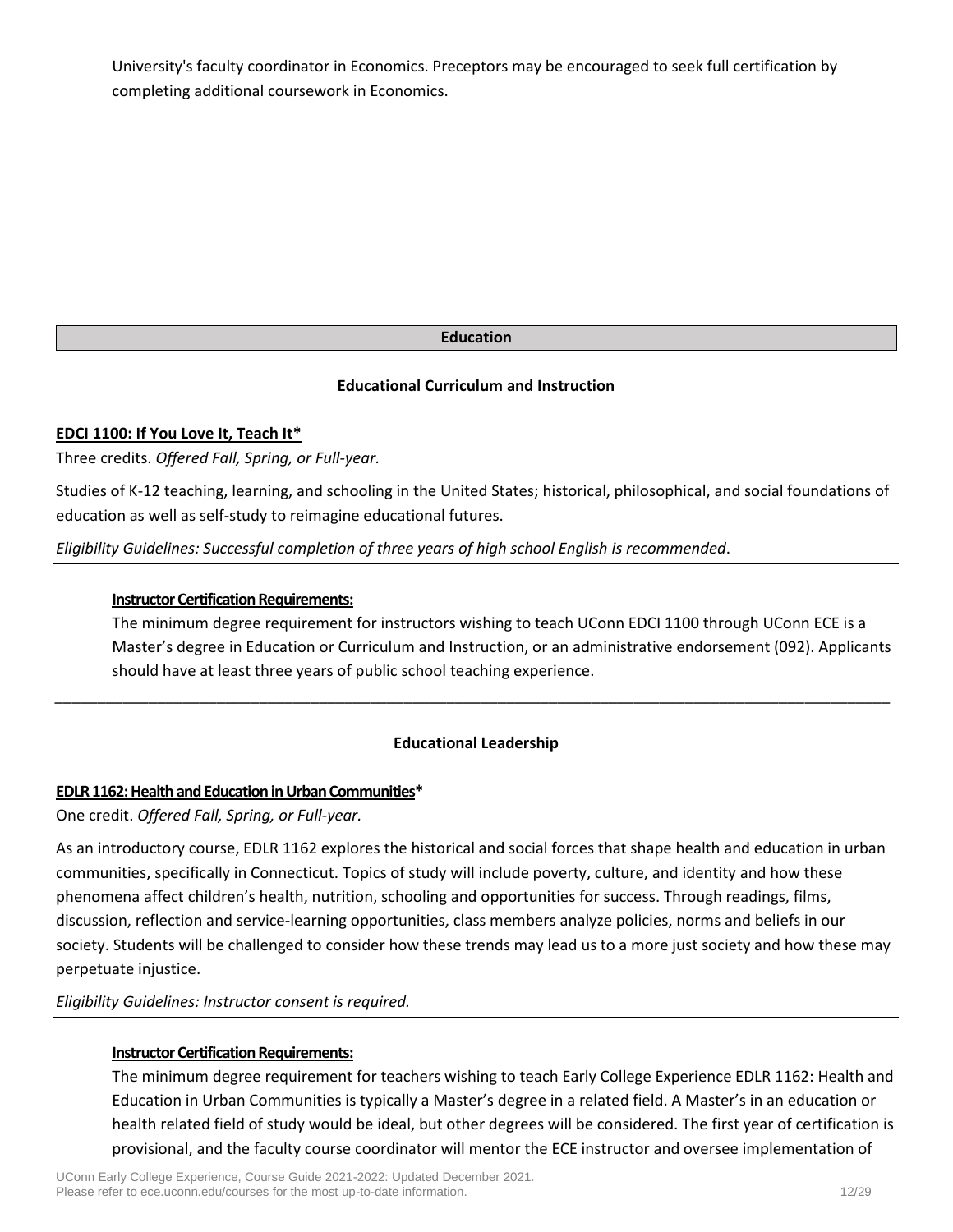University's faculty coordinator in Economics. Preceptors may be encouraged to seek full certification by completing additional coursework in Economics.

# **Education**

# **Educational Curriculum and Instruction**

# **EDCI 1100: If You Love It, Teach It\***

Three credits. *Offered Fall, Spring, or Full-year.*

Studies of K-12 teaching, learning, and schooling in the United States; historical, philosophical, and social foundations of education as well as self-study to reimagine educational futures.

*Eligibility Guidelines: Successful completion of three years of high school English is recommended*.

### **Instructor Certification Requirements:**

The minimum degree requirement for instructors wishing to teach UConn EDCI 1100 through UConn ECE is a Master's degree in Education or Curriculum and Instruction, or an administrative endorsement (092). Applicants should have at least three years of public school teaching experience.

# **Educational Leadership**

*\_\_\_\_\_\_\_\_\_\_\_\_\_\_\_\_\_\_\_\_\_\_\_\_\_\_\_\_\_\_\_\_\_\_\_\_\_\_\_\_\_\_\_\_\_\_\_\_\_\_\_\_\_\_\_\_\_\_\_\_\_\_\_\_\_\_\_\_\_\_\_\_\_\_\_\_\_\_\_\_\_\_\_\_\_\_\_\_\_\_\_\_\_\_\_\_\_\_*

### **EDLR 1162: Health and Education in Urban Communities\***

One credit. *Offered Fall, Spring, or Full-year.*

As an introductory course, EDLR 1162 explores the historical and social forces that shape health and education in urban communities, specifically in Connecticut. Topics of study will include poverty, culture, and identity and how these phenomena affect children's health, nutrition, schooling and opportunities for success. Through readings, films, discussion, reflection and service‐learning opportunities, class members analyze policies, norms and beliefs in our society. Students will be challenged to consider how these trends may lead us to a more just society and how these may perpetuate injustice.

*Eligibility Guidelines: Instructor consent is required.*

### **Instructor Certification Requirements:**

The minimum degree requirement for teachers wishing to teach Early College Experience EDLR 1162: Health and Education in Urban Communities is typically a Master's degree in a related field. A Master's in an education or health related field of study would be ideal, but other degrees will be considered. The first year of certification is provisional, and the faculty course coordinator will mentor the ECE instructor and oversee implementation of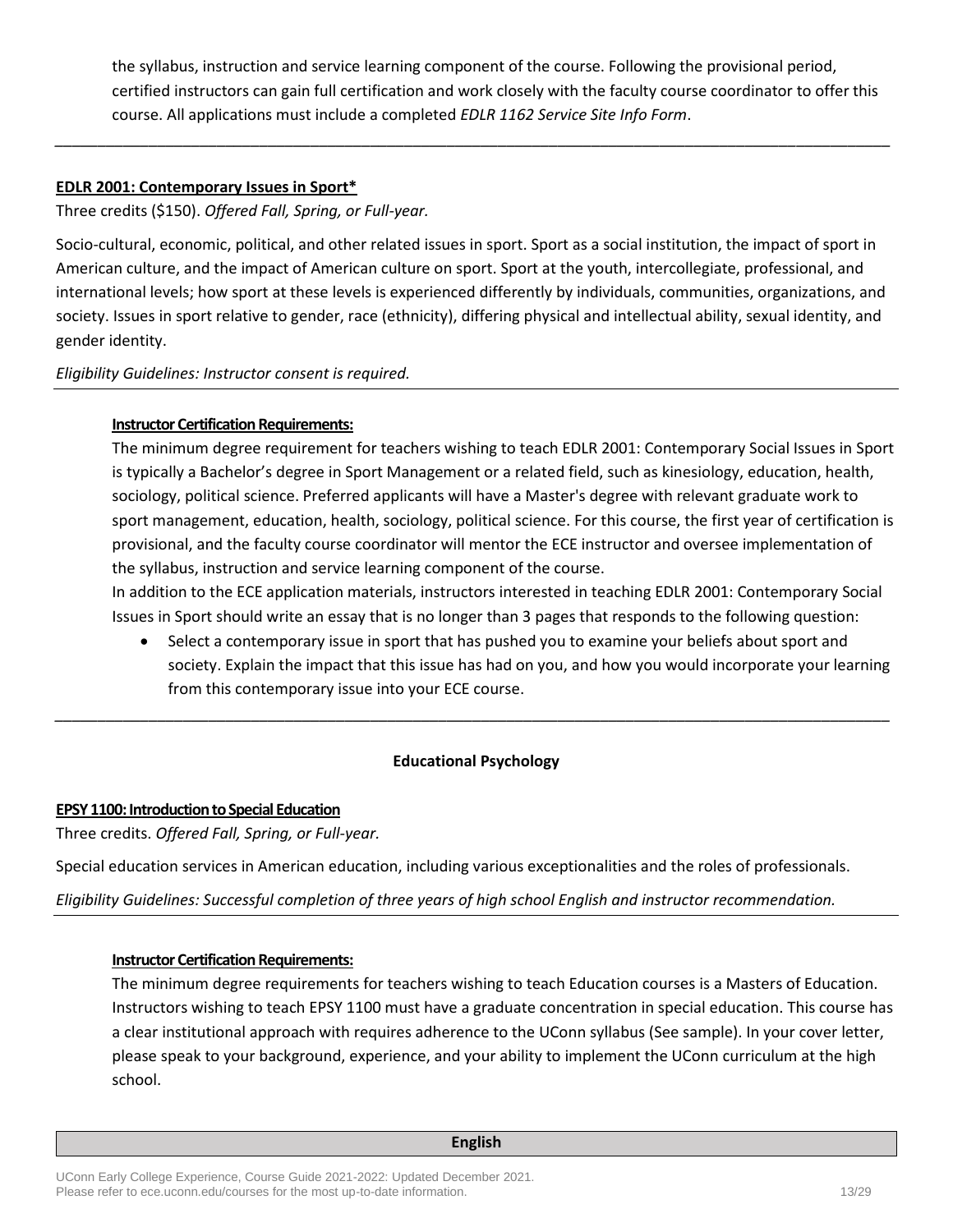the syllabus, instruction and service learning component of the course. Following the provisional period, certified instructors can gain full certification and work closely with the faculty course coordinator to offer this course. All applications must include a completed *[EDLR 1162 Service Site Info Form](https://ece.uconn.edu/wp-content/uploads/sites/2571/2019/12/EDLR-1162_-ECE-site-expansion-application.pdf)*.

### **EDLR 2001: Contemporary Issues in Sport\***

Three credits (\$150). *Offered Fall, Spring, or Full-year.*

Socio-cultural, economic, political, and other related issues in sport. Sport as a social institution, the impact of sport in American culture, and the impact of American culture on sport. Sport at the youth, intercollegiate, professional, and international levels; how sport at these levels is experienced differently by individuals, communities, organizations, and society. Issues in sport relative to gender, race (ethnicity), differing physical and intellectual ability, sexual identity, and gender identity.

*\_\_\_\_\_\_\_\_\_\_\_\_\_\_\_\_\_\_\_\_\_\_\_\_\_\_\_\_\_\_\_\_\_\_\_\_\_\_\_\_\_\_\_\_\_\_\_\_\_\_\_\_\_\_\_\_\_\_\_\_\_\_\_\_\_\_\_\_\_\_\_\_\_\_\_\_\_\_\_\_\_\_\_\_\_\_\_\_\_\_\_\_\_\_\_\_\_\_*

*Eligibility Guidelines: Instructor consent is required.*

# **Instructor Certification Requirements:**

The minimum degree requirement for teachers wishing to teach EDLR 2001: Contemporary Social Issues in Sport is typically a Bachelor's degree in Sport Management or a related field, such as kinesiology, education, health, sociology, political science. Preferred applicants will have a Master's degree with relevant graduate work to sport management, education, health, sociology, political science. For this course, the first year of certification is provisional, and the faculty course coordinator will mentor the ECE instructor and oversee implementation of the syllabus, instruction and service learning component of the course.

In addition to the ECE application materials, instructors interested in teaching EDLR 2001: Contemporary Social Issues in Sport should write an essay that is no longer than 3 pages that responds to the following question:

• Select a contemporary issue in sport that has pushed you to examine your beliefs about sport and society. Explain the impact that this issue has had on you, and how you would incorporate your learning from this contemporary issue into your ECE course.

# **Educational Psychology**

*\_\_\_\_\_\_\_\_\_\_\_\_\_\_\_\_\_\_\_\_\_\_\_\_\_\_\_\_\_\_\_\_\_\_\_\_\_\_\_\_\_\_\_\_\_\_\_\_\_\_\_\_\_\_\_\_\_\_\_\_\_\_\_\_\_\_\_\_\_\_\_\_\_\_\_\_\_\_\_\_\_\_\_\_\_\_\_\_\_\_\_\_\_\_\_\_\_\_*

# **EPSY 1100: Introduction to Special Education**

Three credits. *Offered Fall, Spring, or Full-year.*

Special education services in American education, including various exceptionalities and the roles of professionals.

*Eligibility Guidelines: Successful completion of three years of high school English and instructor recommendation.*

# **Instructor Certification Requirements:**

The minimum degree requirements for teachers wishing to teach Education courses is a Masters of Education. Instructors wishing to teach EPSY 1100 must have a graduate concentration in special education. This course has a clear institutional approach with requires adherence to the UConn syllabus (See sample). In your cover letter, please speak to your background, experience, and your ability to implement the UConn curriculum at the high school.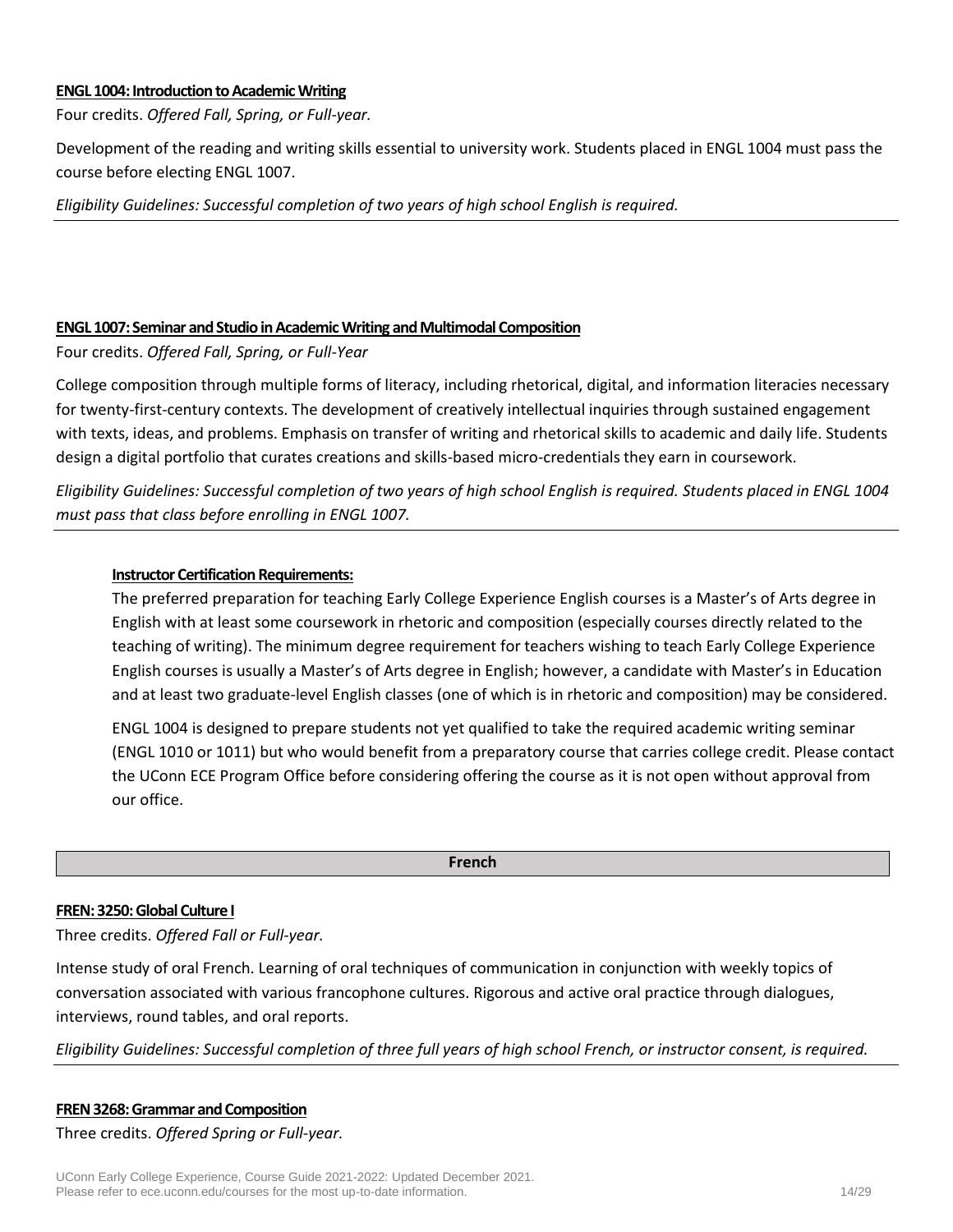#### **ENGL 1004: Introduction to Academic Writing**

Four credits. *Offered Fall, Spring, or Full-year.*

Development of the reading and writing skills essential to university work. Students placed in ENGL 1004 must pass the course before electing ENGL 1007.

*Eligibility Guidelines: Successful completion of two years of high school English is required.*

### **ENGL1007: Seminar and Studio in Academic Writing and Multimodal Composition**

Four credits. *Offered Fall, Spring, or Full-Year*

College composition through multiple forms of literacy, including rhetorical, digital, and information literacies necessary for twenty-first-century contexts. The development of creatively intellectual inquiries through sustained engagement with texts, ideas, and problems. Emphasis on transfer of writing and rhetorical skills to academic and daily life. Students design a digital portfolio that curates creations and skills-based micro-credentials they earn in coursework.

*Eligibility Guidelines: Successful completion of two years of high school English is required. Students placed in ENGL 1004 must pass that class before enrolling in ENGL 1007.*

### **Instructor Certification Requirements:**

The preferred preparation for teaching Early College Experience English courses is a Master's of Arts degree in English with at least some coursework in rhetoric and composition (especially courses directly related to the teaching of writing). The minimum degree requirement for teachers wishing to teach Early College Experience English courses is usually a Master's of Arts degree in English; however, a candidate with Master's in Education and at least two graduate-level English classes (one of which is in rhetoric and composition) may be considered.

ENGL 1004 is designed to prepare students not yet qualified to take the required academic writing seminar (ENGL 1010 or 1011) but who would benefit from a preparatory course that carries college credit. Please contact the UConn ECE Program Office before considering offering the course as it is not open without approval from our office.

#### **French**

### **FREN: 3250:Global Culture I**

Three credits. *Offered Fall or Full-year.*

Intense study of oral French. Learning of oral techniques of communication in conjunction with weekly topics of conversation associated with various francophone cultures. Rigorous and active oral practice through dialogues, interviews, round tables, and oral reports.

*Eligibility Guidelines: Successful completion of three full years of high school French, or instructor consent, is required.*

# **FREN 3268: Grammar and Composition** Three credits. *Offered Spring or Full-year.*

UConn Early College Experience, Course Guide 2021-2022: Updated December 2021. Please refer to ece.uconn.edu/courses for the most up-to-date information. 14/29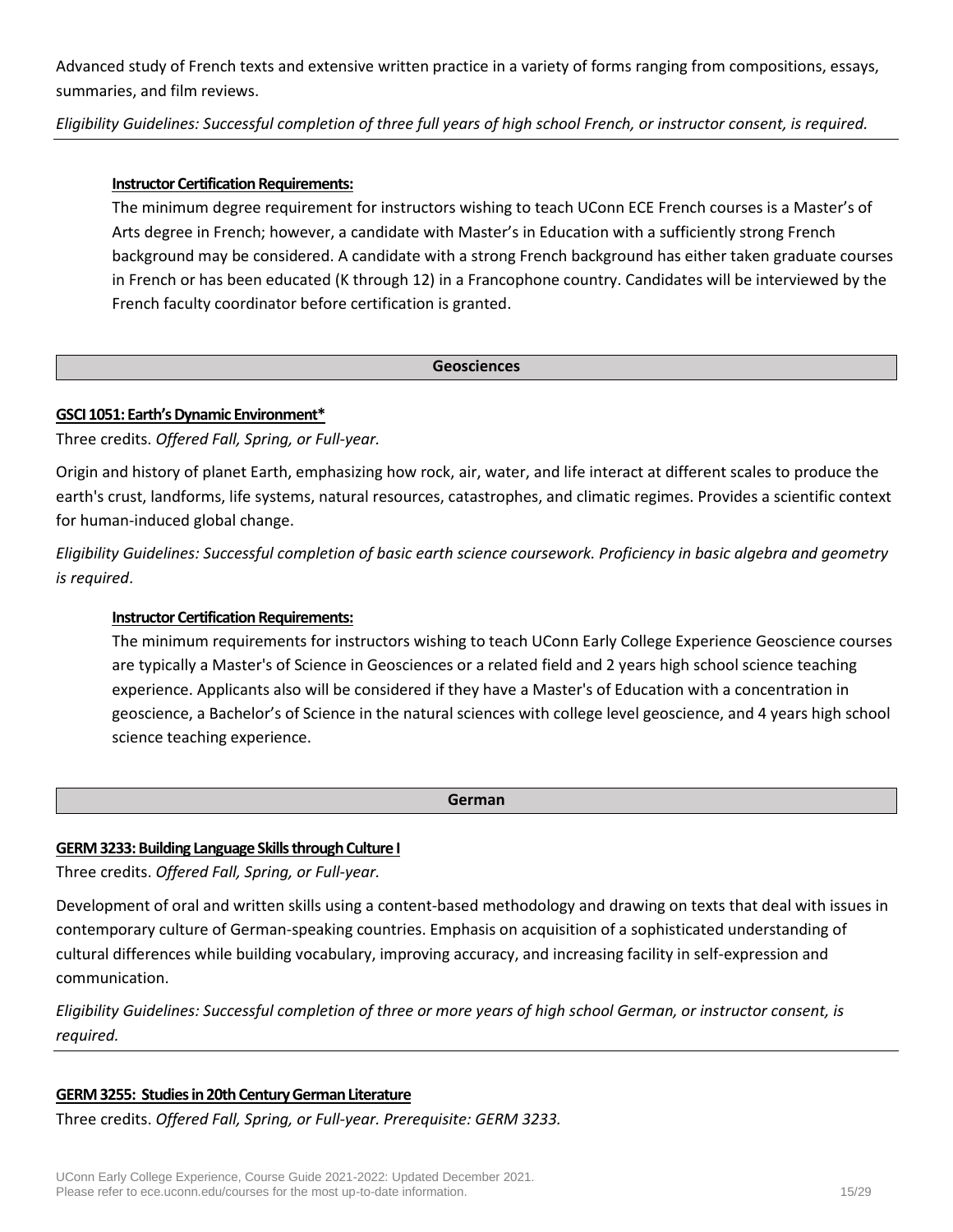Advanced study of French texts and extensive written practice in a variety of forms ranging from compositions, essays, summaries, and film reviews.

*Eligibility Guidelines: Successful completion of three full years of high school French, or instructor consent, is required.*

### **Instructor Certification Requirements:**

The minimum degree requirement for instructors wishing to teach UConn ECE French courses is a Master's of Arts degree in French; however, a candidate with Master's in Education with a sufficiently strong French background may be considered. A candidate with a strong French background has either taken graduate courses in French or has been educated (K through 12) in a Francophone country. Candidates will be interviewed by the French faculty coordinator before certification is granted.

### **Geosciences**

### **GSCI 1051: Earth's Dynamic Environment\***

Three credits. *Offered Fall, Spring, or Full-year.*

Origin and history of planet Earth, emphasizing how rock, air, water, and life interact at different scales to produce the earth's crust, landforms, life systems, natural resources, catastrophes, and climatic regimes. Provides a scientific context for human-induced global change.

*Eligibility Guidelines: Successful completion of basic earth science coursework. Proficiency in basic algebra and geometry is required*.

# **Instructor Certification Requirements:**

The minimum requirements for instructors wishing to teach UConn Early College Experience Geoscience courses are typically a Master's of Science in Geosciences or a related field and 2 years high school science teaching experience. Applicants also will be considered if they have a Master's of Education with a concentration in geoscience, a Bachelor's of Science in the natural sciences with college level geoscience, and 4 years high school science teaching experience.

#### **German**

### **GERM3233: Building Language Skills through Culture I**

Three credits. *Offered Fall, Spring, or Full-year.*

Development of oral and written skills using a content-based methodology and drawing on texts that deal with issues in contemporary culture of German-speaking countries. Emphasis on acquisition of a sophisticated understanding of cultural differences while building vocabulary, improving accuracy, and increasing facility in self-expression and communication.

*Eligibility Guidelines: Successful completion of three or more years of high school German, or instructor consent, is required.*

### **GERM 3255: Studies in 20th Century German Literature**

Three credits. *Offered Fall, Spring, or Full-year. Prerequisite: GERM 3233.*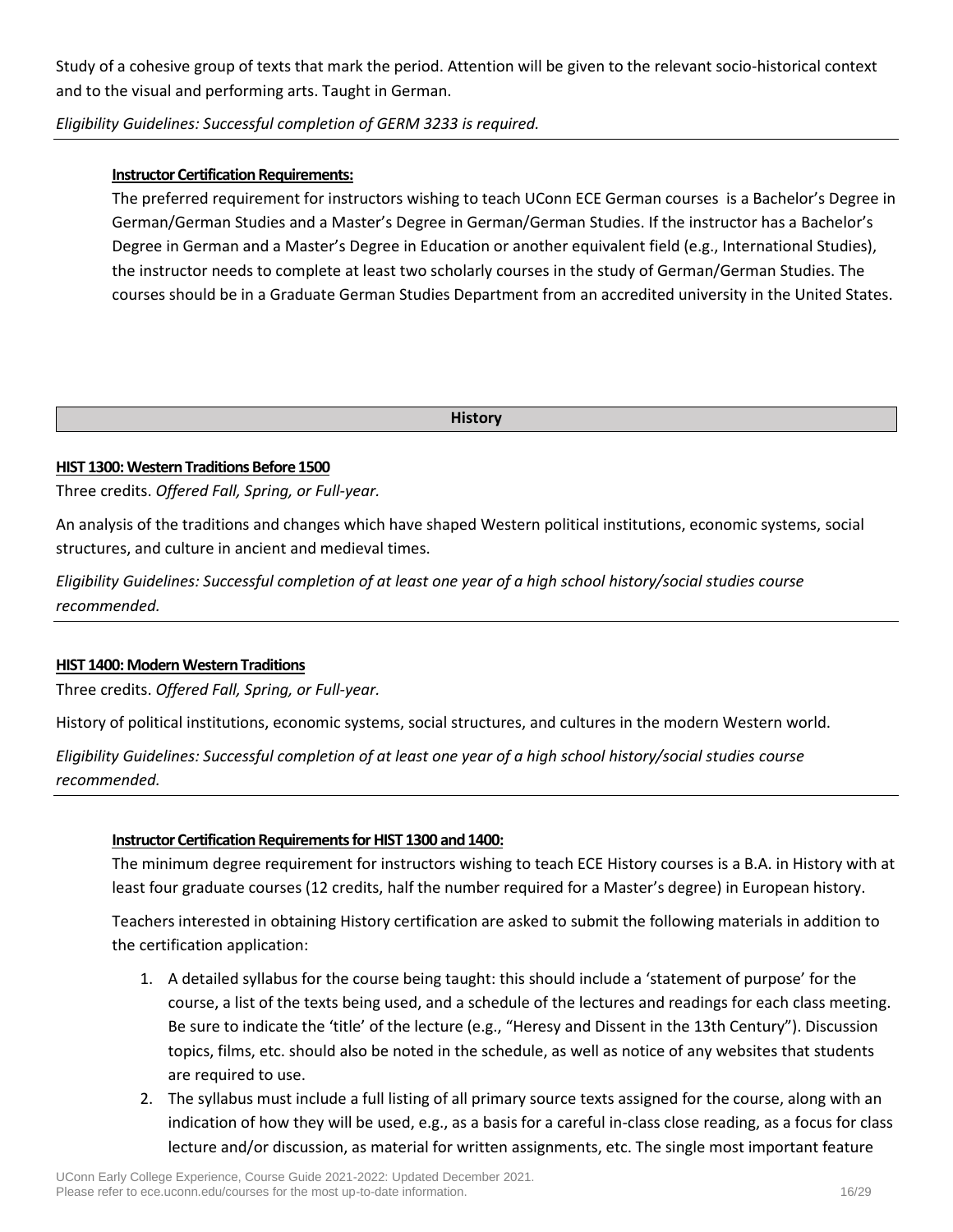Study of a cohesive group of texts that mark the period. Attention will be given to the relevant socio-historical context and to the visual and performing arts. Taught in German.

# *Eligibility Guidelines: Successful completion of GERM 3233 is required.*

### **Instructor Certification Requirements:**

The preferred requirement for instructors wishing to teach UConn ECE German courses is a Bachelor's Degree in German/German Studies and a Master's Degree in German/German Studies. If the instructor has a Bachelor's Degree in German and a Master's Degree in Education or another equivalent field (e.g., International Studies), the instructor needs to complete at least two scholarly courses in the study of German/German Studies. The courses should be in a Graduate German Studies Department from an accredited university in the United States.

**History**

#### **HIST 1300: Western Traditions Before 1500**

Three credits. *Offered Fall, Spring, or Full-year.*

An analysis of the traditions and changes which have shaped Western political institutions, economic systems, social structures, and culture in ancient and medieval times.

*Eligibility Guidelines: Successful completion of at least one year of a high school history/social studies course recommended.*

### **HIST 1400: Modern Western Traditions**

Three credits. *Offered Fall, Spring, or Full-year.*

History of political institutions, economic systems, social structures, and cultures in the modern Western world.

*Eligibility Guidelines: Successful completion of at least one year of a high school history/social studies course recommended.*

### **Instructor Certification Requirements for HIST 1300 and 1400:**

The minimum degree requirement for instructors wishing to teach ECE History courses is a B.A. in History with at least four graduate courses (12 credits, half the number required for a Master's degree) in European history.

Teachers interested in obtaining History certification are asked to submit the following materials in addition to the certification application:

- 1. A detailed syllabus for the course being taught: this should include a 'statement of purpose' for the course, a list of the texts being used, and a schedule of the lectures and readings for each class meeting. Be sure to indicate the 'title' of the lecture (e.g., "Heresy and Dissent in the 13th Century"). Discussion topics, films, etc. should also be noted in the schedule, as well as notice of any websites that students are required to use.
- 2. The syllabus must include a full listing of all primary source texts assigned for the course, along with an indication of how they will be used, e.g., as a basis for a careful in-class close reading, as a focus for class lecture and/or discussion, as material for written assignments, etc. The single most important feature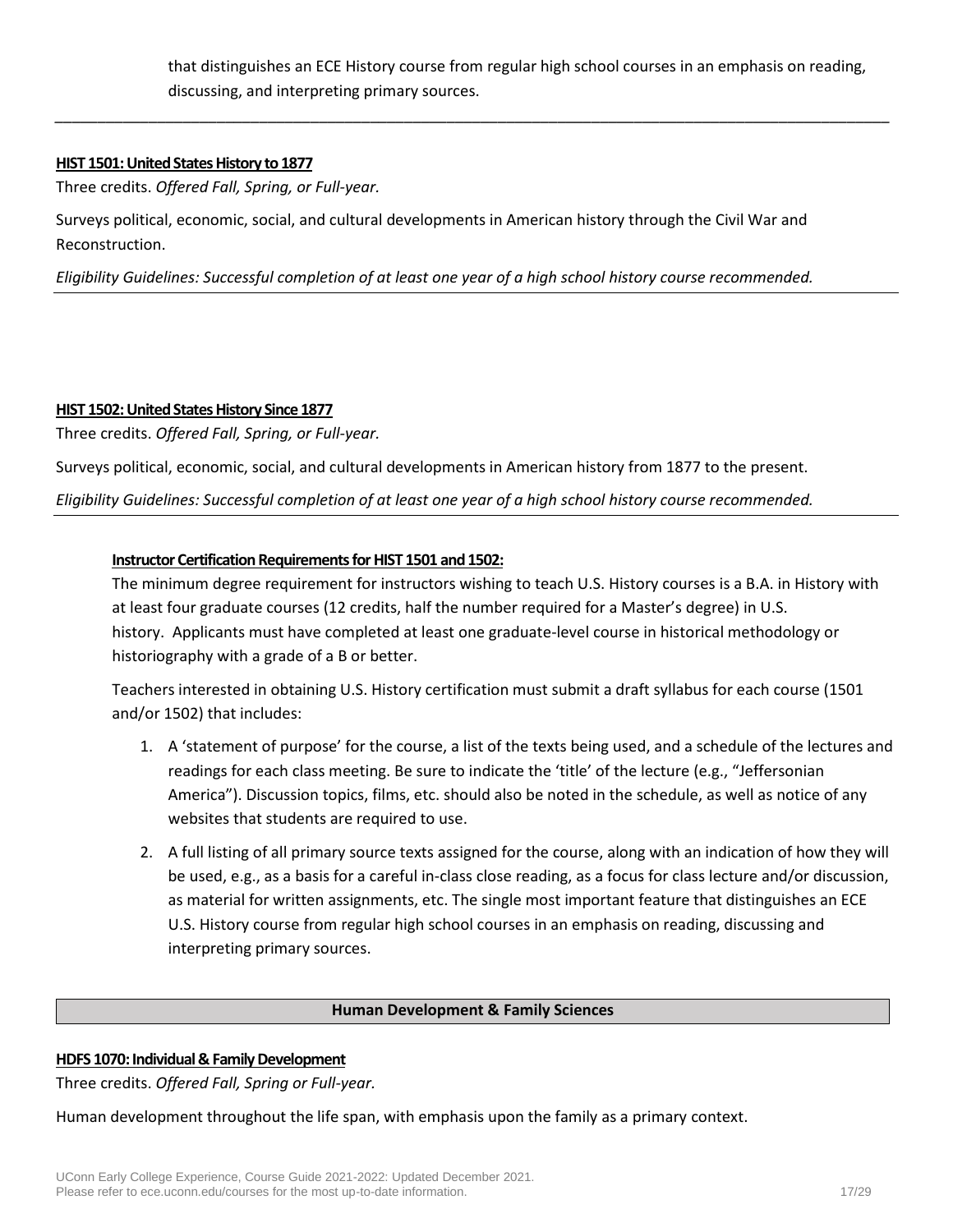that distinguishes an ECE History course from regular high school courses in an emphasis on reading, discussing, and interpreting primary sources.

*\_\_\_\_\_\_\_\_\_\_\_\_\_\_\_\_\_\_\_\_\_\_\_\_\_\_\_\_\_\_\_\_\_\_\_\_\_\_\_\_\_\_\_\_\_\_\_\_\_\_\_\_\_\_\_\_\_\_\_\_\_\_\_\_\_\_\_\_\_\_\_\_\_\_\_\_\_\_\_\_\_\_\_\_\_\_\_\_\_\_\_\_\_\_\_\_\_\_*

#### **HIST 1501: United States History to 1877**

Three credits. *Offered Fall, Spring, or Full-year.*

Surveys political, economic, social, and cultural developments in American history through the Civil War and Reconstruction.

*Eligibility Guidelines: Successful completion of at least one year of a high school history course recommended.*

### **HIST 1502: United States History Since 1877**

Three credits. *Offered Fall, Spring, or Full-year.*

Surveys political, economic, social, and cultural developments in American history from 1877 to the present.

*Eligibility Guidelines: Successful completion of at least one year of a high school history course recommended.*

### **Instructor Certification Requirements for HIST 1501 and 1502:**

The minimum degree requirement for instructors wishing to teach U.S. History courses is a B.A. in History with at least four graduate courses (12 credits, half the number required for a Master's degree) in U.S. history. Applicants must have completed at least one graduate-level course in historical methodology or historiography with a grade of a B or better.

Teachers interested in obtaining U.S. History certification must submit a draft syllabus for each course (1501 and/or 1502) that includes:

- 1. A 'statement of purpose' for the course, a list of the texts being used, and a schedule of the lectures and readings for each class meeting. Be sure to indicate the 'title' of the lecture (e.g., "Jeffersonian America"). Discussion topics, films, etc. should also be noted in the schedule, as well as notice of any websites that students are required to use.
- 2. A full listing of all primary source texts assigned for the course, along with an indication of how they will be used, e.g., as a basis for a careful in-class close reading, as a focus for class lecture and/or discussion, as material for written assignments, etc. The single most important feature that distinguishes an ECE U.S. History course from regular high school courses in an emphasis on reading, discussing and interpreting primary sources.

#### **Human Development & Family Sciences**

### **HDFS 1070: Individual & Family Development**

Three credits. *Offered Fall, Spring or Full-year.*

Human development throughout the life span, with emphasis upon the family as a primary context.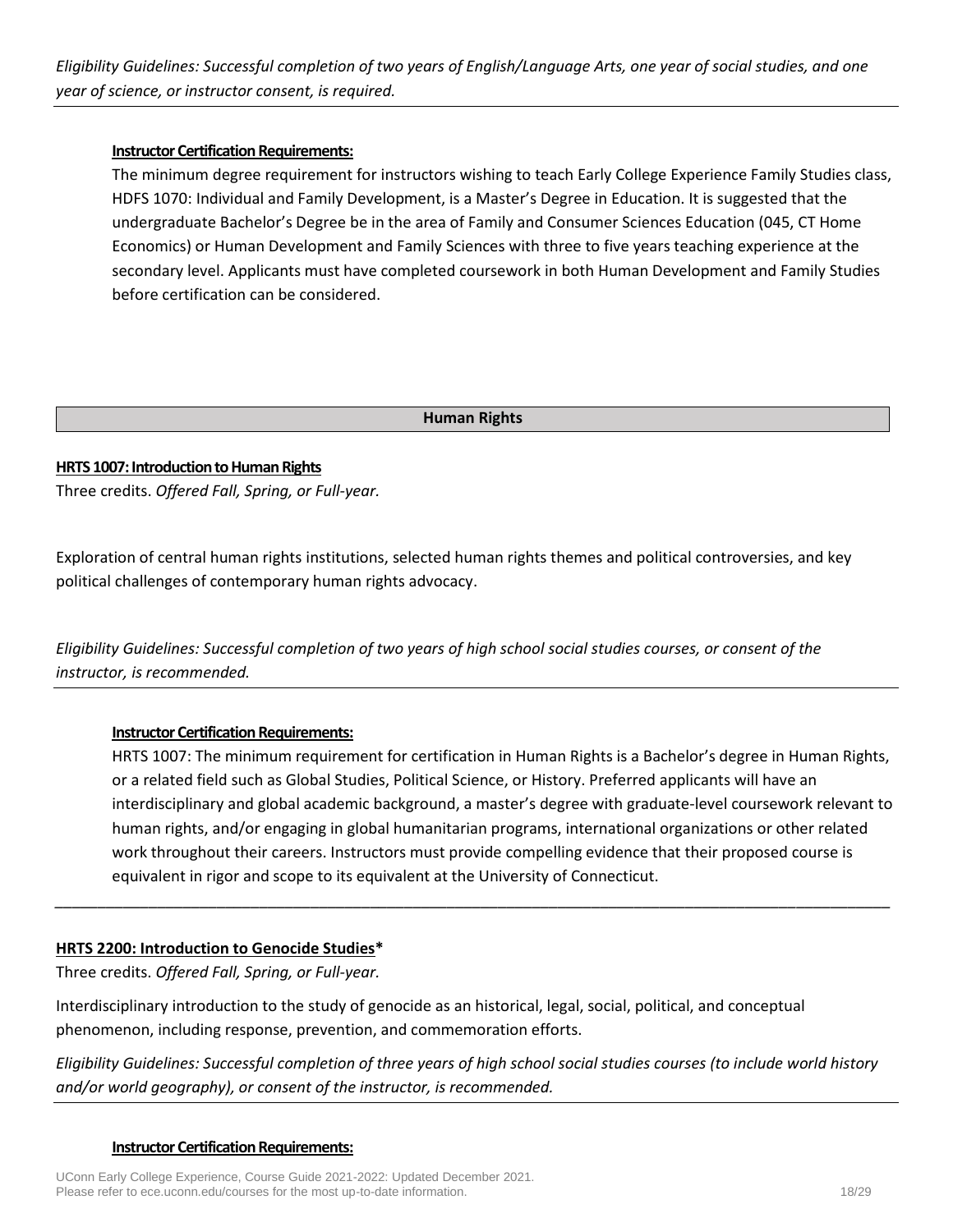# **Instructor Certification Requirements:**

The minimum degree requirement for instructors wishing to teach Early College Experience Family Studies class, HDFS 1070: Individual and Family Development, is a Master's Degree in Education. It is suggested that the undergraduate Bachelor's Degree be in the area of Family and Consumer Sciences Education (045, CT Home Economics) or Human Development and Family Sciences with three to five years teaching experience at the secondary level. Applicants must have completed coursework in both Human Development and Family Studies before certification can be considered.

### **Human Rights**

# **HRTS 1007: Introduction to Human Rights**

Three credits. *Offered Fall, Spring, or Full-year.*

Exploration of central human rights institutions, selected human rights themes and political controversies, and key political challenges of contemporary human rights advocacy.

*Eligibility Guidelines: Successful completion of two years of high school social studies courses, or consent of the instructor, is recommended.*

### **Instructor Certification Requirements:**

HRTS 1007: The minimum requirement for certification in Human Rights is a Bachelor's degree in Human Rights, or a related field such as Global Studies, Political Science, or History. Preferred applicants will have an interdisciplinary and global academic background, a master's degree with graduate-level coursework relevant to human rights, and/or engaging in global humanitarian programs, international organizations or other related work throughout their careers. Instructors must provide compelling evidence that their proposed course is equivalent in rigor and scope to its equivalent at the University of Connecticut.

### **HRTS 2200: Introduction to Genocide Studies\***

Three credits. *Offered Fall, Spring, or Full-year.*

Interdisciplinary introduction to the study of genocide as an historical, legal, social, political, and conceptual phenomenon, including response, prevention, and commemoration efforts.

*Eligibility Guidelines: Successful completion of three years of high school social studies courses (to include world history and/or world geography), or consent of the instructor, is recommended.*

*\_\_\_\_\_\_\_\_\_\_\_\_\_\_\_\_\_\_\_\_\_\_\_\_\_\_\_\_\_\_\_\_\_\_\_\_\_\_\_\_\_\_\_\_\_\_\_\_\_\_\_\_\_\_\_\_\_\_\_\_\_\_\_\_\_\_\_\_\_\_\_\_\_\_\_\_\_\_\_\_\_\_\_\_\_\_\_\_\_\_\_\_\_\_\_\_\_\_*

#### **Instructor Certification Requirements:**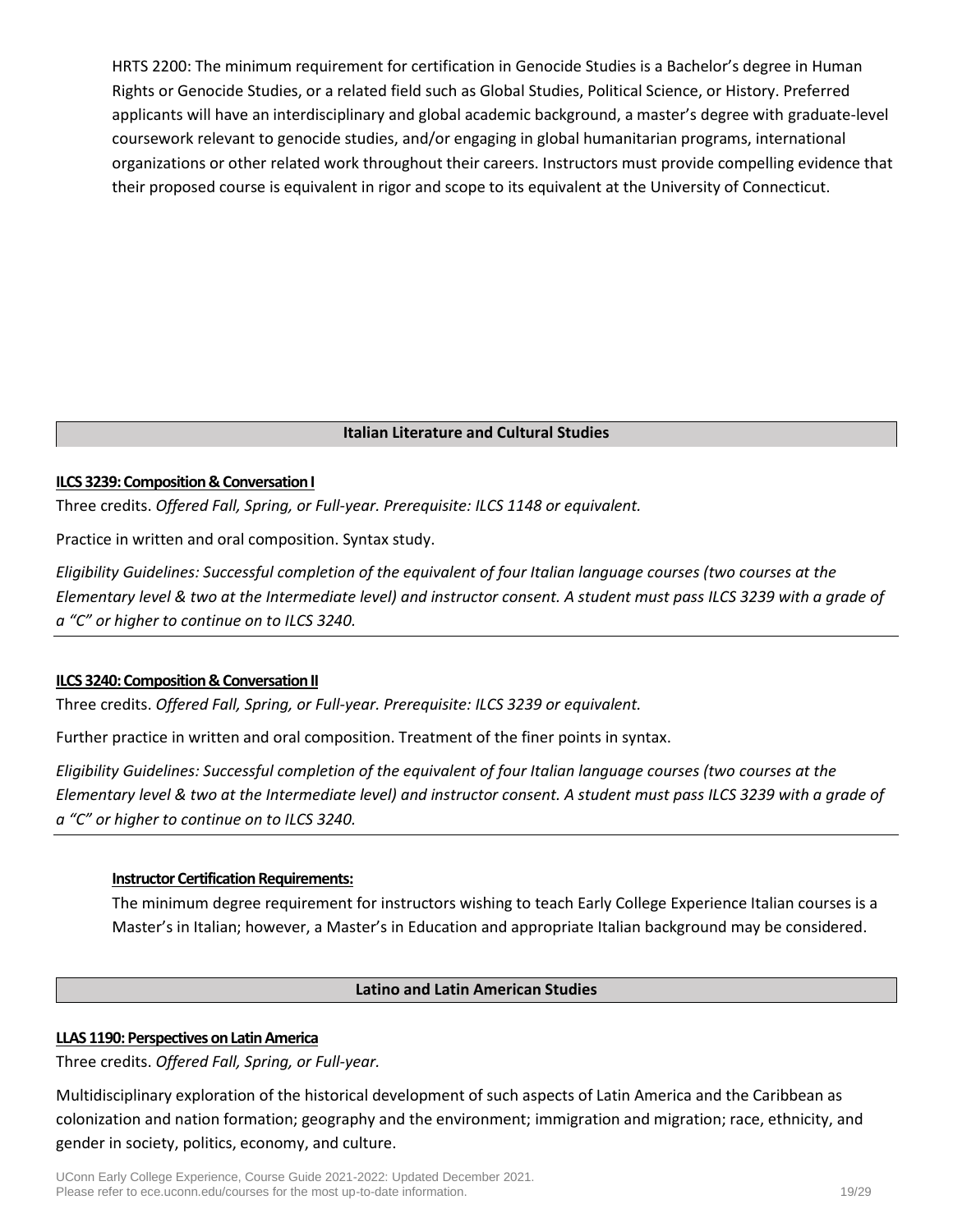HRTS 2200: The minimum requirement for certification in Genocide Studies is a Bachelor's degree in Human Rights or Genocide Studies, or a related field such as Global Studies, Political Science, or History. Preferred applicants will have an interdisciplinary and global academic background, a master's degree with graduate-level coursework relevant to genocide studies, and/or engaging in global humanitarian programs, international organizations or other related work throughout their careers. Instructors must provide compelling evidence that their proposed course is equivalent in rigor and scope to its equivalent at the University of Connecticut.

# **Italian Literature and Cultural Studies**

#### **ILCS 3239: Composition & Conversation I**

Three credits. *Offered Fall, Spring, or Full-year. Prerequisite: ILCS 1148 or equivalent.*

Practice in written and oral composition. Syntax study.

*Eligibility Guidelines: Successful completion of the equivalent of four Italian language courses (two courses at the Elementary level & two at the Intermediate level) and instructor consent. A student must pass ILCS 3239 with a grade of a "C" or higher to continue on to ILCS 3240.*

### **ILCS 3240: Composition & Conversation II**

Three credits. *Offered Fall, Spring, or Full-year. Prerequisite: ILCS 3239 or equivalent.*

Further practice in written and oral composition. Treatment of the finer points in syntax.

*Eligibility Guidelines: Successful completion of the equivalent of four Italian language courses (two courses at the Elementary level & two at the Intermediate level) and instructor consent. A student must pass ILCS 3239 with a grade of a "C" or higher to continue on to ILCS 3240.*

### **Instructor Certification Requirements:**

The minimum degree requirement for instructors wishing to teach Early College Experience Italian courses is a Master's in Italian; however, a Master's in Education and appropriate Italian background may be considered.

### **Latino and Latin American Studies**

### **LLAS 1190: Perspectives on Latin America**

Three credits. *Offered Fall, Spring, or Full-year.*

Multidisciplinary exploration of the historical development of such aspects of Latin America and the Caribbean as colonization and nation formation; geography and the environment; immigration and migration; race, ethnicity, and gender in society, politics, economy, and culture.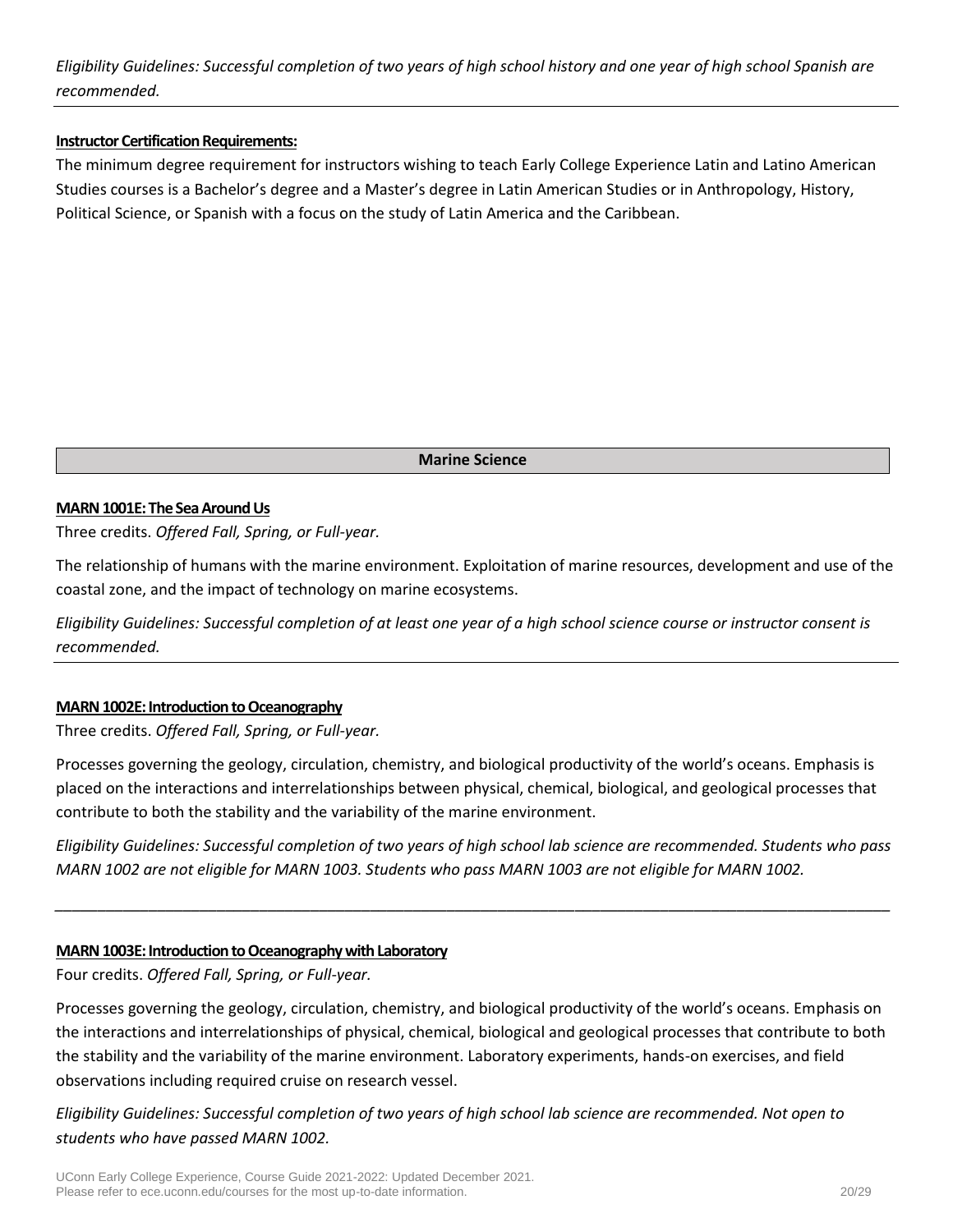*Eligibility Guidelines: Successful completion of two years of high school history and one year of high school Spanish are recommended.*

#### **Instructor Certification Requirements:**

The minimum degree requirement for instructors wishing to teach Early College Experience Latin and Latino American Studies courses is a Bachelor's degree and a Master's degree in Latin American Studies or in Anthropology, History, Political Science, or Spanish with a focus on the study of Latin America and the Caribbean.

**Marine Science**

#### **MARN 1001E: The Sea Around Us**

Three credits. *Offered Fall, Spring, or Full-year.*

The relationship of humans with the marine environment. Exploitation of marine resources, development and use of the coastal zone, and the impact of technology on marine ecosystems.

*Eligibility Guidelines: Successful completion of at least one year of a high school science course or instructor consent is recommended.*

### **MARN 1002E: Introduction to Oceanography**

Three credits. *Offered Fall, Spring, or Full-year.*

Processes governing the geology, circulation, chemistry, and biological productivity of the world's oceans. Emphasis is placed on the interactions and interrelationships between physical, chemical, biological, and geological processes that contribute to both the stability and the variability of the marine environment.

*Eligibility Guidelines: Successful completion of two years of high school lab science are recommended. Students who pass MARN 1002 are not eligible for MARN 1003. Students who pass MARN 1003 are not eligible for MARN 1002.*

*\_\_\_\_\_\_\_\_\_\_\_\_\_\_\_\_\_\_\_\_\_\_\_\_\_\_\_\_\_\_\_\_\_\_\_\_\_\_\_\_\_\_\_\_\_\_\_\_\_\_\_\_\_\_\_\_\_\_\_\_\_\_\_\_\_\_\_\_\_\_\_\_\_\_\_\_\_\_\_\_\_\_\_\_\_\_\_\_\_\_\_\_\_\_\_\_\_\_*

#### **MARN 1003E: Introduction to Oceanography with Laboratory**

Four credits. *Offered Fall, Spring, or Full-year.*

Processes governing the geology, circulation, chemistry, and biological productivity of the world's oceans. Emphasis on the interactions and interrelationships of physical, chemical, biological and geological processes that contribute to both the stability and the variability of the marine environment. Laboratory experiments, hands-on exercises, and field observations including required cruise on research vessel.

*Eligibility Guidelines: Successful completion of two years of high school lab science are recommended. Not open to students who have passed MARN 1002.*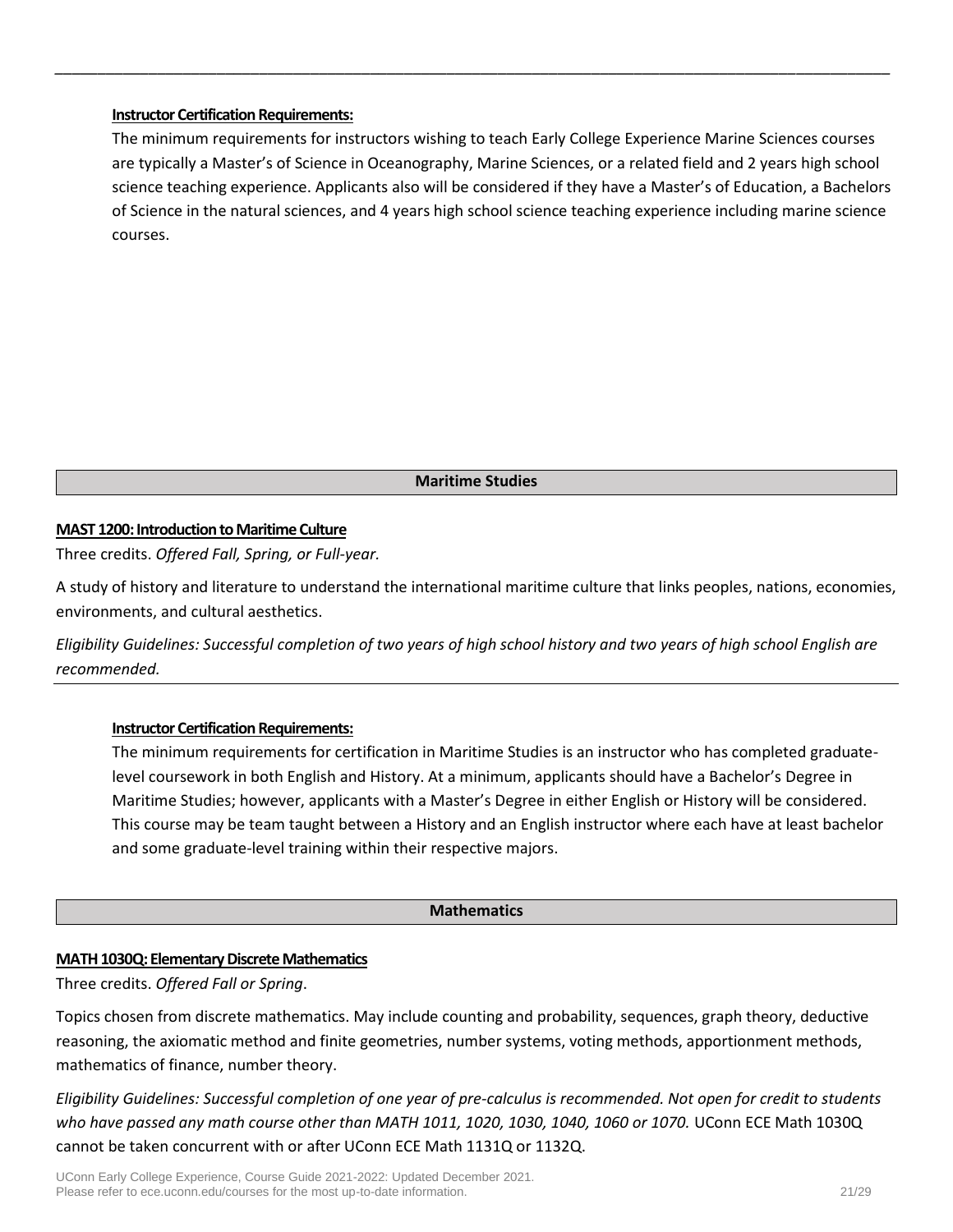### **Instructor Certification Requirements:**

The minimum requirements for instructors wishing to teach Early College Experience Marine Sciences courses are typically a Master's of Science in Oceanography, Marine Sciences, or a related field and 2 years high school science teaching experience. Applicants also will be considered if they have a Master's of Education, a Bachelors of Science in the natural sciences, and 4 years high school science teaching experience including marine science courses.

*\_\_\_\_\_\_\_\_\_\_\_\_\_\_\_\_\_\_\_\_\_\_\_\_\_\_\_\_\_\_\_\_\_\_\_\_\_\_\_\_\_\_\_\_\_\_\_\_\_\_\_\_\_\_\_\_\_\_\_\_\_\_\_\_\_\_\_\_\_\_\_\_\_\_\_\_\_\_\_\_\_\_\_\_\_\_\_\_\_\_\_\_\_\_\_\_\_\_*

#### **Maritime Studies**

# **MAST 1200: Introduction to Maritime Culture**

Three credits. *Offered Fall, Spring, or Full-year.*

A study of history and literature to understand the international maritime culture that links peoples, nations, economies, environments, and cultural aesthetics.

*Eligibility Guidelines: Successful completion of two years of high school history and two years of high school English are recommended.*

### **Instructor Certification Requirements:**

The minimum requirements for certification in Maritime Studies is an instructor who has completed graduatelevel coursework in both English and History. At a minimum, applicants should have a Bachelor's Degree in Maritime Studies; however, applicants with a Master's Degree in either English or History will be considered. This course may be team taught between a History and an English instructor where each have at least bachelor and some graduate-level training within their respective majors.

#### **Mathematics**

### **MATH 1030Q: Elementary Discrete Mathematics**

Three credits. *Offered Fall or Spring*.

Topics chosen from discrete mathematics. May include counting and probability, sequences, graph theory, deductive reasoning, the axiomatic method and finite geometries, number systems, voting methods, apportionment methods, mathematics of finance, number theory.

*Eligibility Guidelines: Successful completion of one year of pre-calculus is recommended. Not open for credit to students who have passed any math course other than MATH 1011, 1020, 1030, 1040, 1060 or 1070.* UConn ECE Math 1030Q cannot be taken concurrent with or after UConn ECE Math 1131Q or 1132Q.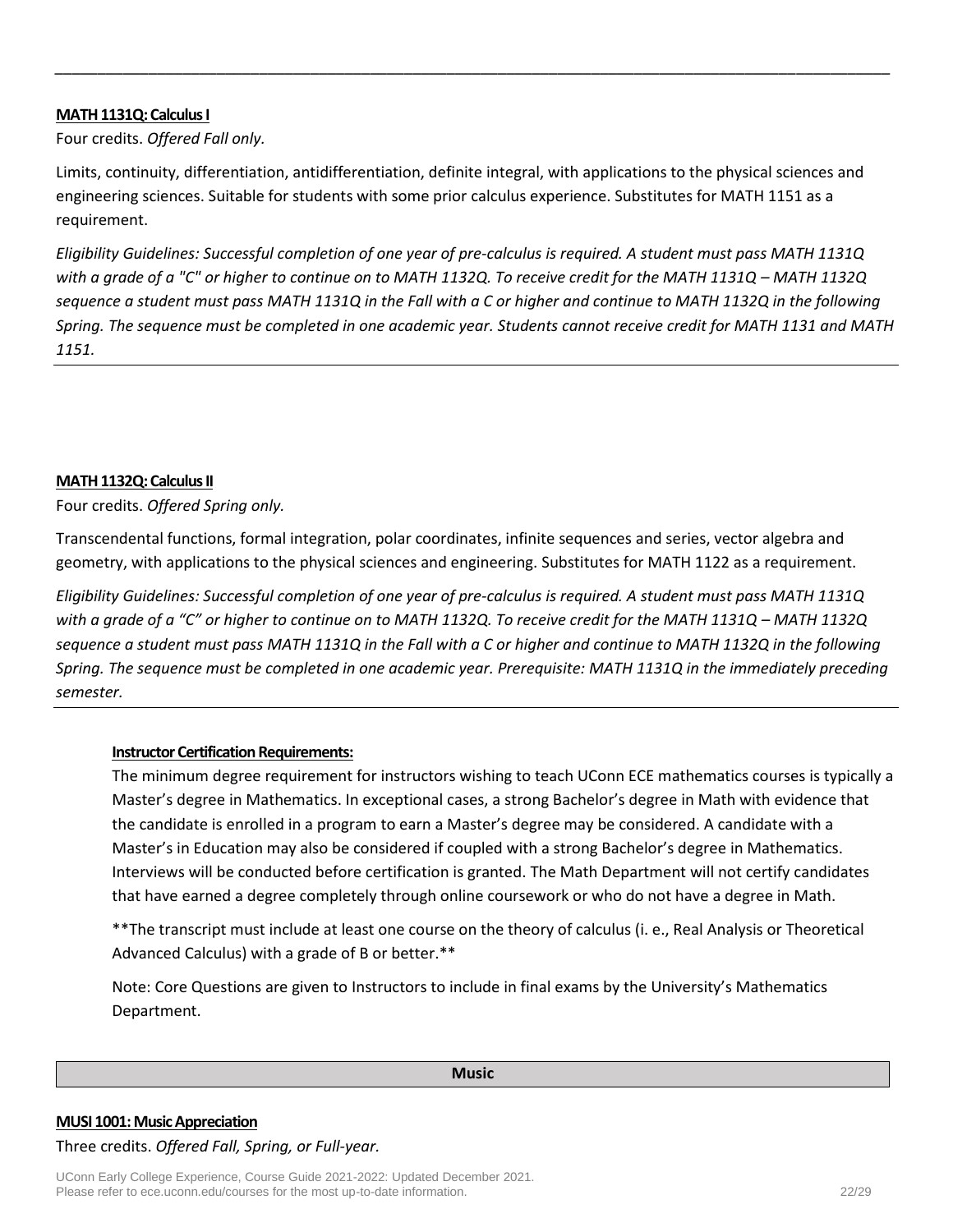#### **MATH 1131Q: Calculus I**

Four credits. *Offered Fall only.*

Limits, continuity, differentiation, antidifferentiation, definite integral, with applications to the physical sciences and engineering sciences. Suitable for students with some prior calculus experience. Substitutes for MATH 1151 as a requirement.

*\_\_\_\_\_\_\_\_\_\_\_\_\_\_\_\_\_\_\_\_\_\_\_\_\_\_\_\_\_\_\_\_\_\_\_\_\_\_\_\_\_\_\_\_\_\_\_\_\_\_\_\_\_\_\_\_\_\_\_\_\_\_\_\_\_\_\_\_\_\_\_\_\_\_\_\_\_\_\_\_\_\_\_\_\_\_\_\_\_\_\_\_\_\_\_\_\_\_*

*Eligibility Guidelines: Successful completion of one year of pre-calculus is required. A student must pass MATH 1131Q with a grade of a "C" or higher to continue on to MATH 1132Q. To receive credit for the MATH 1131Q – MATH 1132Q sequence a student must pass MATH 1131Q in the Fall with a C or higher and continue to MATH 1132Q in the following Spring. The sequence must be completed in one academic year. Students cannot receive credit for MATH 1131 and MATH 1151.*

#### **MATH 1132Q: Calculus II**

Four credits. *Offered Spring only.* 

Transcendental functions, formal integration, polar coordinates, infinite sequences and series, vector algebra and geometry, with applications to the physical sciences and engineering. Substitutes for MATH 1122 as a requirement.

*Eligibility Guidelines: Successful completion of one year of pre-calculus is required. A student must pass MATH 1131Q with a grade of a "C" or higher to continue on to MATH 1132Q. To receive credit for the MATH 1131Q – MATH 1132Q sequence a student must pass MATH 1131Q in the Fall with a C or higher and continue to MATH 1132Q in the following Spring. The sequence must be completed in one academic year. Prerequisite: MATH 1131Q in the immediately preceding semester.*

### **Instructor Certification Requirements:**

The minimum degree requirement for instructors wishing to teach UConn ECE mathematics courses is typically a Master's degree in Mathematics. In exceptional cases, a strong Bachelor's degree in Math with evidence that the candidate is enrolled in a program to earn a Master's degree may be considered. A candidate with a Master's in Education may also be considered if coupled with a strong Bachelor's degree in Mathematics. Interviews will be conducted before certification is granted. The Math Department will not certify candidates that have earned a degree completely through online coursework or who do not have a degree in Math.

\*\*The transcript must include at least one course on the theory of calculus (i. e., Real Analysis or Theoretical Advanced Calculus) with a grade of B or better.\*\*

Note: Core Questions are given to Instructors to include in final exams by the University's Mathematics Department.

#### **Music**

#### **MUSI 1001: Music Appreciation**

#### Three credits. *Offered Fall, Spring, or Full-year.*

UConn Early College Experience, Course Guide 2021-2022: Updated December 2021. Please refer to ece.uconn.edu/courses for the most up-to-date information. 22/29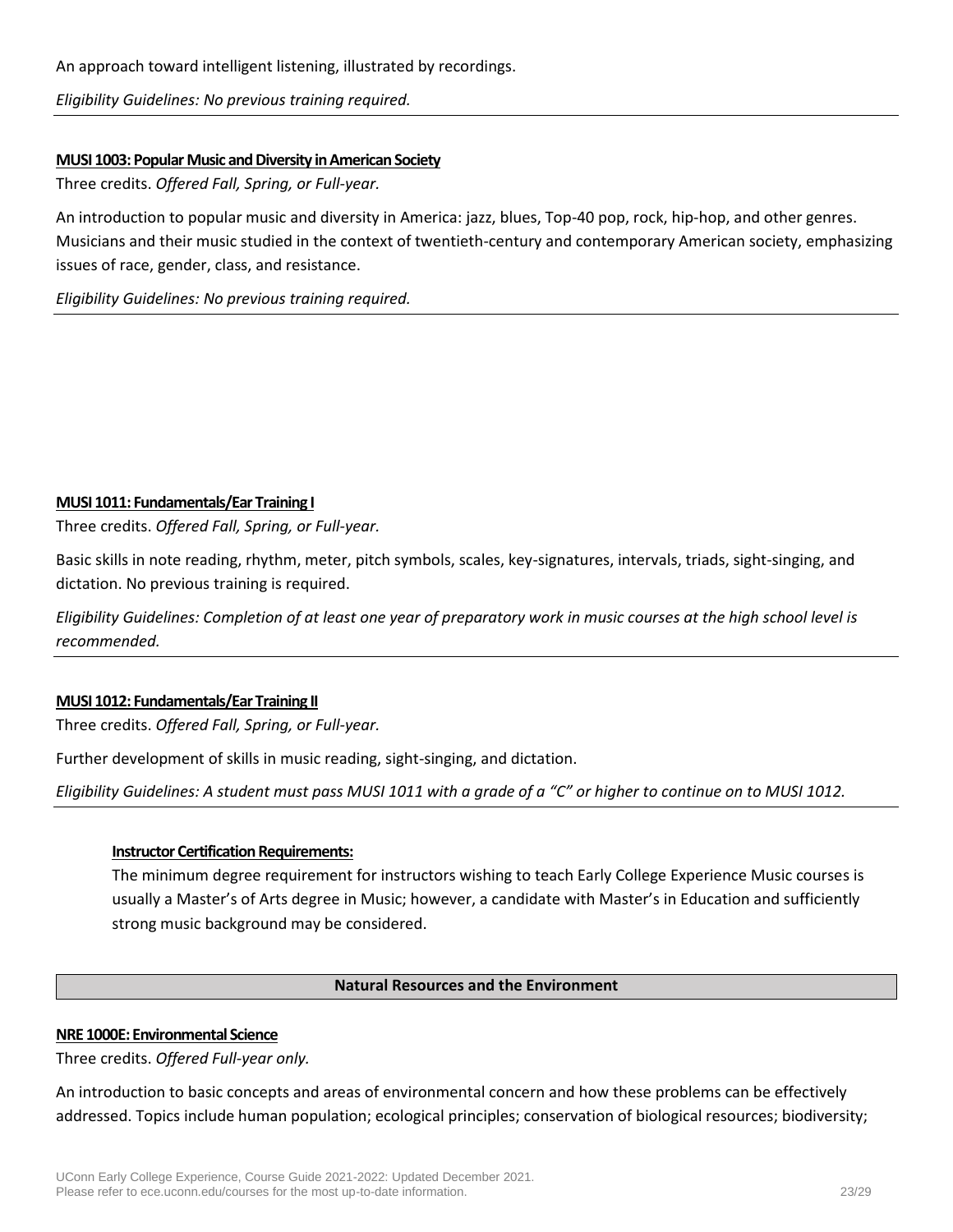An approach toward intelligent listening, illustrated by recordings.

*Eligibility Guidelines: No previous training required.*

### **MUSI 1003: Popular Music and Diversity in American Society**

Three credits. *Offered Fall, Spring, or Full-year.*

An introduction to popular music and diversity in America: jazz, blues, Top-40 pop, rock, hip-hop, and other genres. Musicians and their music studied in the context of twentieth-century and contemporary American society, emphasizing issues of race, gender, class, and resistance.

*Eligibility Guidelines: No previous training required.*

### **MUSI 1011: Fundamentals/Ear Training I**

Three credits. *Offered Fall, Spring, or Full-year.*

Basic skills in note reading, rhythm, meter, pitch symbols, scales, key-signatures, intervals, triads, sight-singing, and dictation. No previous training is required.

*Eligibility Guidelines: Completion of at least one year of preparatory work in music courses at the high school level is recommended.*

# **MUSI 1012: Fundamentals/Ear Training II**

Three credits. *Offered Fall, Spring, or Full-year.*

Further development of skills in music reading, sight-singing, and dictation.

*Eligibility Guidelines: A student must pass MUSI 1011 with a grade of a "C" or higher to continue on to MUSI 1012.*

### **Instructor Certification Requirements:**

The minimum degree requirement for instructors wishing to teach Early College Experience Music courses is usually a Master's of Arts degree in Music; however, a candidate with Master's in Education and sufficiently strong music background may be considered.

### **Natural Resources and the Environment**

### **NRE 1000E: Environmental Science**

Three credits. *Offered Full-year only.*

An introduction to basic concepts and areas of environmental concern and how these problems can be effectively addressed. Topics include human population; ecological principles; conservation of biological resources; biodiversity;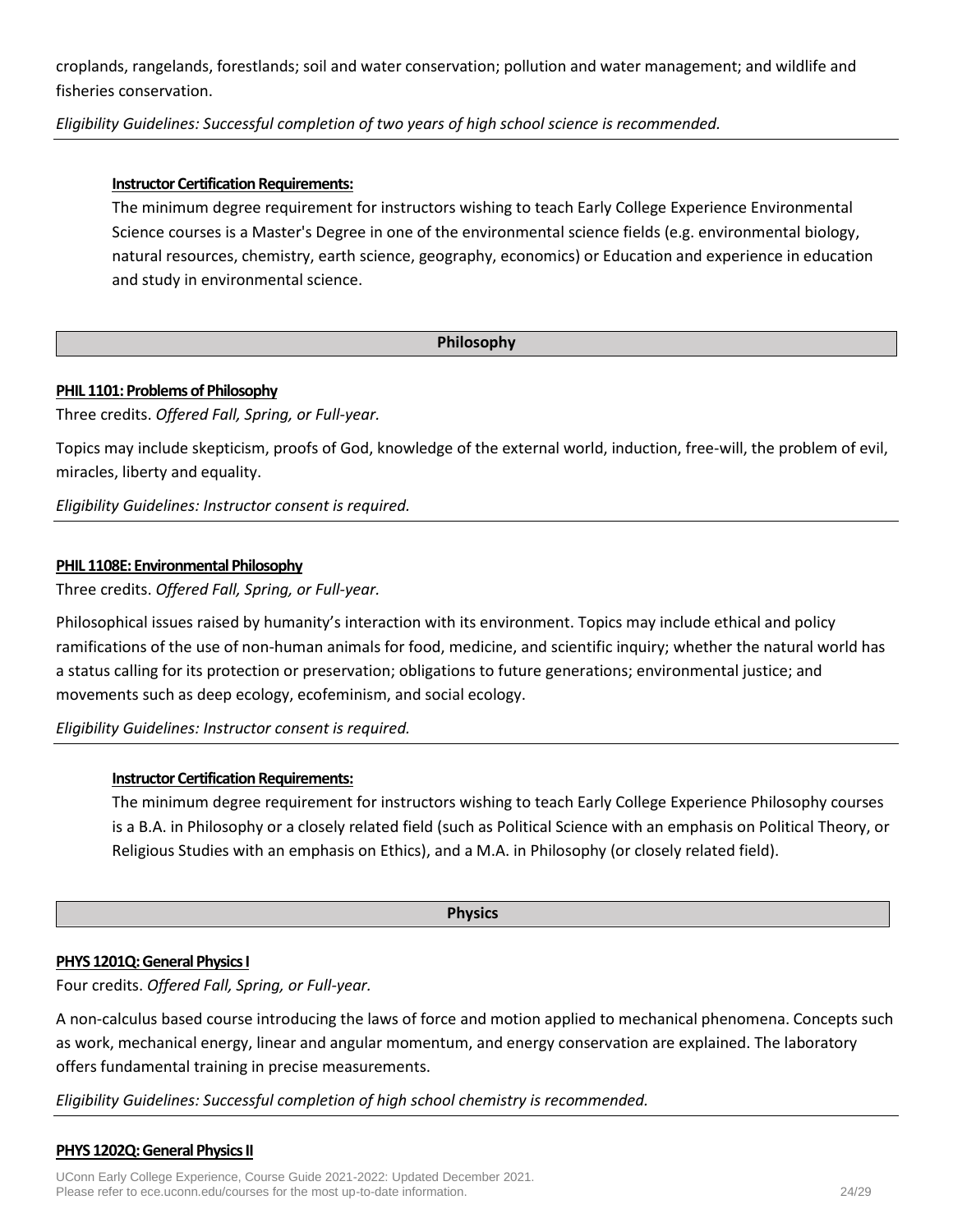croplands, rangelands, forestlands; soil and water conservation; pollution and water management; and wildlife and fisheries conservation.

*Eligibility Guidelines: Successful completion of two years of high school science is recommended.*

# **Instructor Certification Requirements:**

The minimum degree requirement for instructors wishing to teach Early College Experience Environmental Science courses is a Master's Degree in one of the environmental science fields (e.g. environmental biology, natural resources, chemistry, earth science, geography, economics) or Education and experience in education and study in environmental science.

# **Philosophy**

# **PHIL 1101: Problems of Philosophy**

Three credits. *Offered Fall, Spring, or Full-year.*

Topics may include skepticism, proofs of God, knowledge of the external world, induction, free-will, the problem of evil, miracles, liberty and equality.

*Eligibility Guidelines: Instructor consent is required.*

# **PHIL 1108E: Environmental Philosophy**

Three credits. *Offered Fall, Spring, or Full-year.*

Philosophical issues raised by humanity's interaction with its environment. Topics may include ethical and policy ramifications of the use of non-human animals for food, medicine, and scientific inquiry; whether the natural world has a status calling for its protection or preservation; obligations to future generations; environmental justice; and movements such as deep ecology, ecofeminism, and social ecology.

*Eligibility Guidelines: Instructor consent is required.*

# **Instructor Certification Requirements:**

The minimum degree requirement for instructors wishing to teach Early College Experience Philosophy courses is a B.A. in Philosophy or a closely related field (such as Political Science with an emphasis on Political Theory, or Religious Studies with an emphasis on Ethics), and a M.A. in Philosophy (or closely related field).

### **Physics**

### **PHYS 1201Q: General Physics I**

Four credits. *Offered Fall, Spring, or Full-year.*

A non-calculus based course introducing the laws of force and motion applied to mechanical phenomena. Concepts such as work, mechanical energy, linear and angular momentum, and energy conservation are explained. The laboratory offers fundamental training in precise measurements.

# *Eligibility Guidelines: Successful completion of high school chemistry is recommended.*

# **PHYS 1202Q: General Physics II**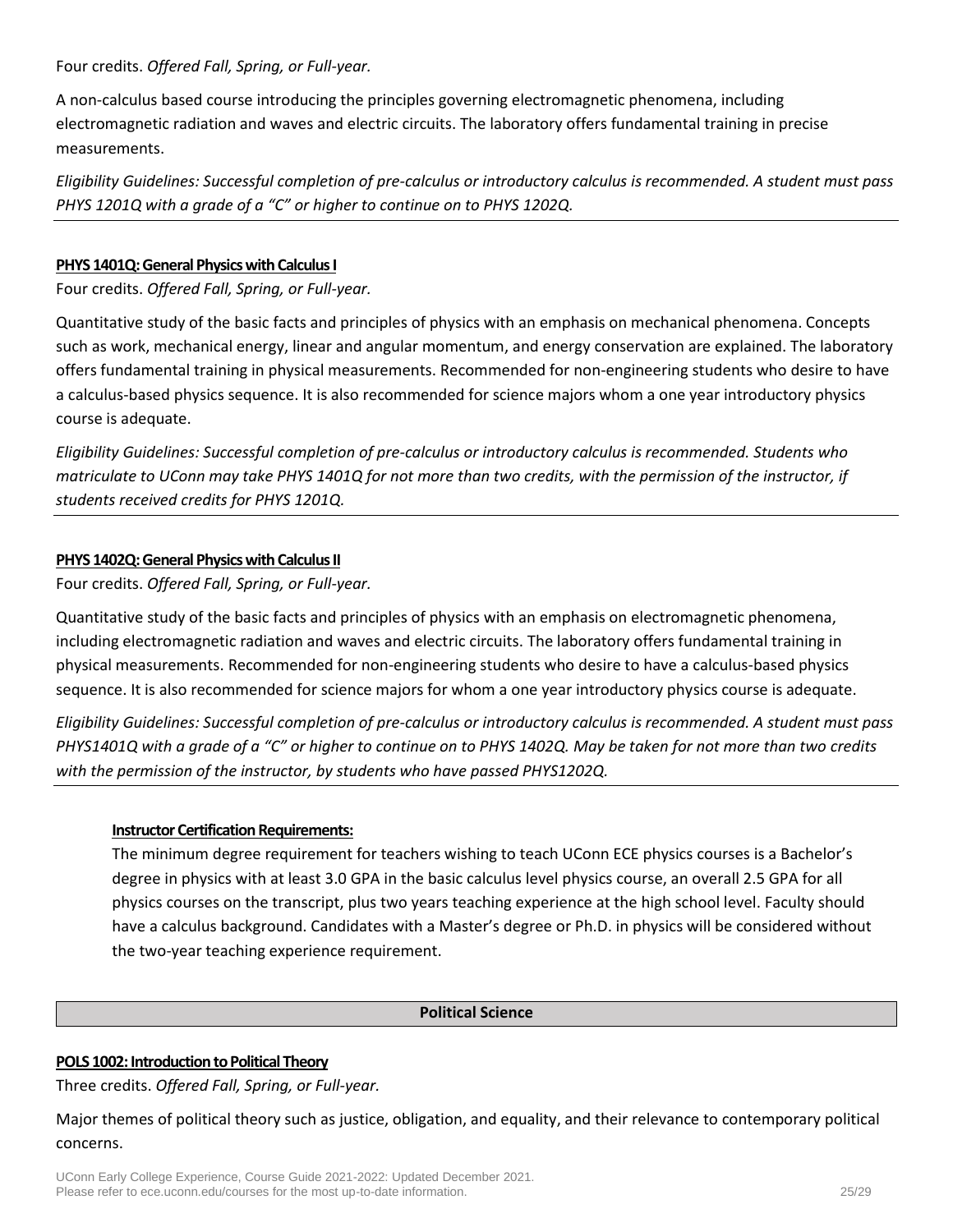Four credits. *Offered Fall, Spring, or Full-year.*

A non-calculus based course introducing the principles governing electromagnetic phenomena, including electromagnetic radiation and waves and electric circuits. The laboratory offers fundamental training in precise measurements.

*Eligibility Guidelines: Successful completion of pre-calculus or introductory calculus is recommended. A student must pass PHYS 1201Q with a grade of a "C" or higher to continue on to PHYS 1202Q.*

### **PHYS 1401Q: General Physics with Calculus I**

Four credits. *Offered Fall, Spring, or Full-year.*

Quantitative study of the basic facts and principles of physics with an emphasis on mechanical phenomena. Concepts such as work, mechanical energy, linear and angular momentum, and energy conservation are explained. The laboratory offers fundamental training in physical measurements. Recommended for non-engineering students who desire to have a calculus-based physics sequence. It is also recommended for science majors whom a one year introductory physics course is adequate.

*Eligibility Guidelines: Successful completion of pre-calculus or introductory calculus is recommended. Students who matriculate to UConn may take PHYS 1401Q for not more than two credits, with the permission of the instructor, if students received credits for PHYS 1201Q.*

# **PHYS 1402Q:General Physics with Calculus II**

Four credits. *Offered Fall, Spring, or Full-year.*

Quantitative study of the basic facts and principles of physics with an emphasis on electromagnetic phenomena, including electromagnetic radiation and waves and electric circuits. The laboratory offers fundamental training in physical measurements. Recommended for non-engineering students who desire to have a calculus-based physics sequence. It is also recommended for science majors for whom a one year introductory physics course is adequate.

*Eligibility Guidelines: Successful completion of pre-calculus or introductory calculus is recommended. A student must pass PHYS1401Q with a grade of a "C" or higher to continue on to PHYS 1402Q. May be taken for not more than two credits with the permission of the instructor, by students who have passed PHYS1202Q.*

### **Instructor Certification Requirements:**

The minimum degree requirement for teachers wishing to teach UConn ECE physics courses is a Bachelor's degree in physics with at least 3.0 GPA in the basic calculus level physics course, an overall 2.5 GPA for all physics courses on the transcript, plus two years teaching experience at the high school level. Faculty should have a calculus background. Candidates with a Master's degree or Ph.D. in physics will be considered without the two-year teaching experience requirement.

#### **Political Science**

### **POLS 1002: Introduction to Political Theory**

Three credits. *Offered Fall, Spring, or Full-year.*

Major themes of political theory such as justice, obligation, and equality, and their relevance to contemporary political concerns.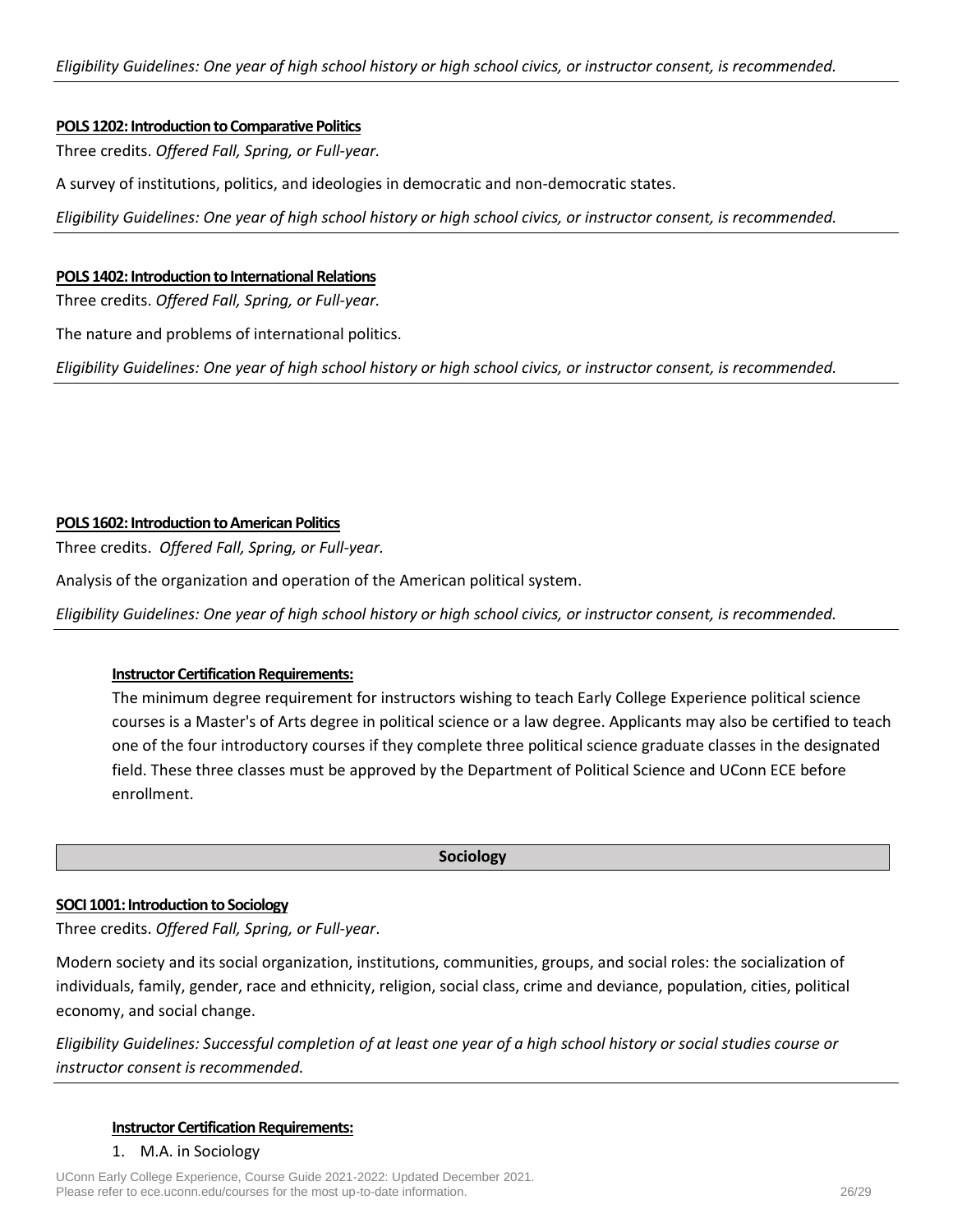#### **POLS 1202: Introduction to Comparative Politics**

Three credits. *Offered Fall, Spring, or Full-year.*

A survey of institutions, politics, and ideologies in democratic and non-democratic states.

*Eligibility Guidelines: One year of high school history or high school civics, or instructor consent, is recommended.*

#### **POLS 1402: Introduction to International Relations**

Three credits. *Offered Fall, Spring, or Full-year.*

The nature and problems of international politics.

*Eligibility Guidelines: One year of high school history or high school civics, or instructor consent, is recommended.*

### **POLS 1602: Introduction to American Politics**

Three credits. *Offered Fall, Spring, or Full-year.*

Analysis of the organization and operation of the American political system.

*Eligibility Guidelines: One year of high school history or high school civics, or instructor consent, is recommended.*

### **Instructor Certification Requirements:**

The minimum degree requirement for instructors wishing to teach Early College Experience political science courses is a Master's of Arts degree in political science or a law degree. Applicants may also be certified to teach one of the four introductory courses if they complete three political science graduate classes in the designated field. These three classes must be approved by the Department of Political Science and UConn ECE before enrollment.

#### **Sociology**

### **SOCI 1001: Introduction to Sociology**

Three credits. *Offered Fall, Spring, or Full-year*.

Modern society and its social organization, institutions, communities, groups, and social roles: the socialization of individuals, family, gender, race and ethnicity, religion, social class, crime and deviance, population, cities, political economy, and social change.

*Eligibility Guidelines: Successful completion of at least one year of a high school history or social studies course or instructor consent is recommended.*

#### **Instructor Certification Requirements:**

1. M.A. in Sociology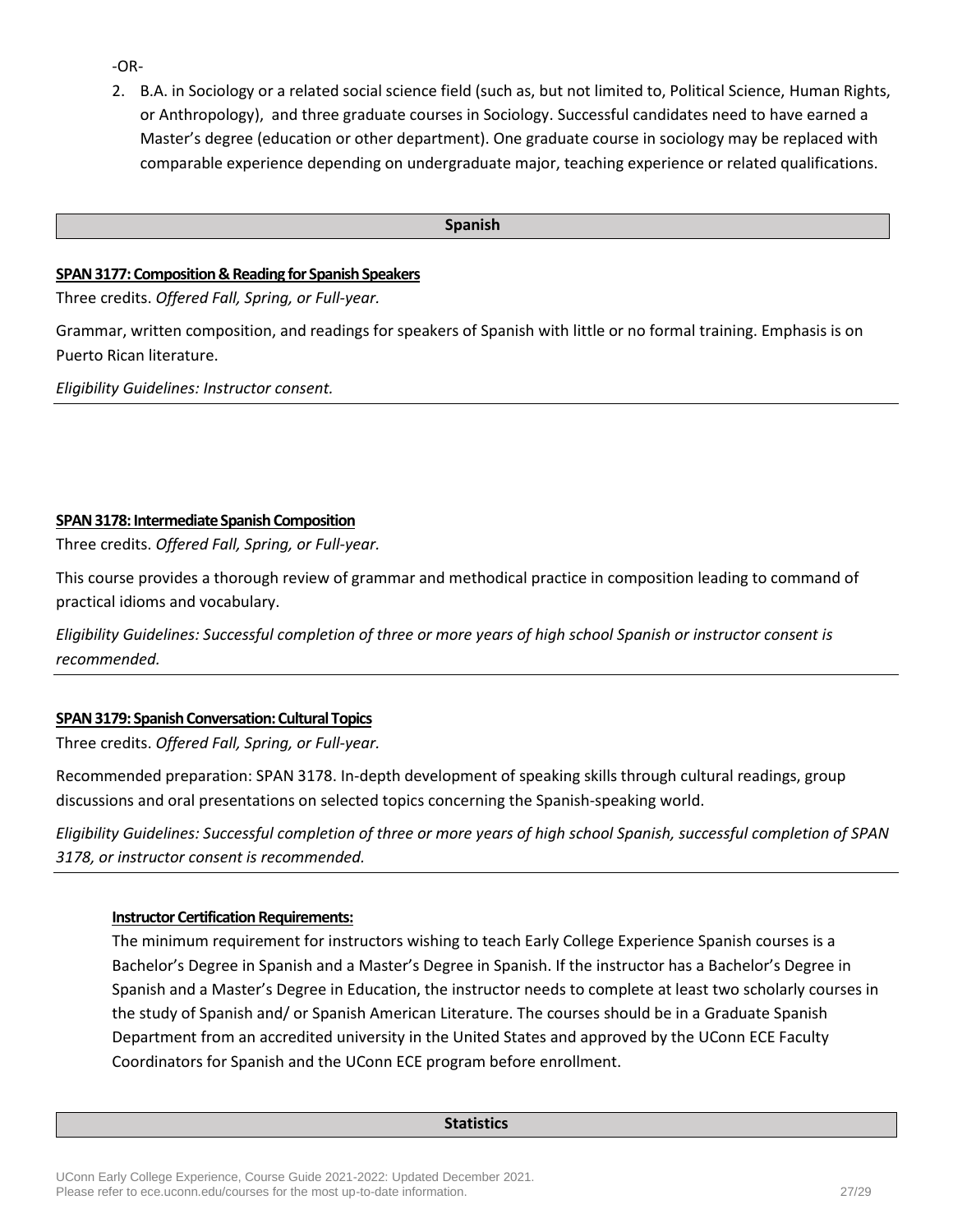-OR-

2. B.A. in Sociology or a related social science field (such as, but not limited to, Political Science, Human Rights, or Anthropology), and three graduate courses in Sociology. Successful candidates need to have earned a Master's degree (education or other department). One graduate course in sociology may be replaced with comparable experience depending on undergraduate major, teaching experience or related qualifications.

#### **Spanish**

### **SPAN 3177: Composition & Reading for Spanish Speakers**

Three credits. *Offered Fall, Spring, or Full-year.*

Grammar, written composition, and readings for speakers of Spanish with little or no formal training. Emphasis is on Puerto Rican literature.

*Eligibility Guidelines: Instructor consent.*

### **SPAN 3178: Intermediate Spanish Composition**

Three credits. *Offered Fall, Spring, or Full-year.*

This course provides a thorough review of grammar and methodical practice in composition leading to command of practical idioms and vocabulary.

*Eligibility Guidelines: Successful completion of three or more years of high school Spanish or instructor consent is recommended.*

# **SPAN 3179: Spanish Conversation: Cultural Topics**

Three credits. *Offered Fall, Spring, or Full-year.*

Recommended preparation: SPAN 3178. In-depth development of speaking skills through cultural readings, group discussions and oral presentations on selected topics concerning the Spanish-speaking world.

*Eligibility Guidelines: Successful completion of three or more years of high school Spanish, successful completion of SPAN 3178, or instructor consent is recommended.*

### **Instructor Certification Requirements:**

The minimum requirement for instructors wishing to teach Early College Experience Spanish courses is a Bachelor's Degree in Spanish and a Master's Degree in Spanish. If the instructor has a Bachelor's Degree in Spanish and a Master's Degree in Education, the instructor needs to complete at least two scholarly courses in the study of Spanish and/ or Spanish American Literature. The courses should be in a Graduate Spanish Department from an accredited university in the United States and approved by the UConn ECE Faculty Coordinators for Spanish and the UConn ECE program before enrollment.

#### **Statistics**

UConn Early College Experience, Course Guide 2021-2022: Updated December 2021. Please refer to ece.uconn.edu/courses for the most up-to-date information. 27/29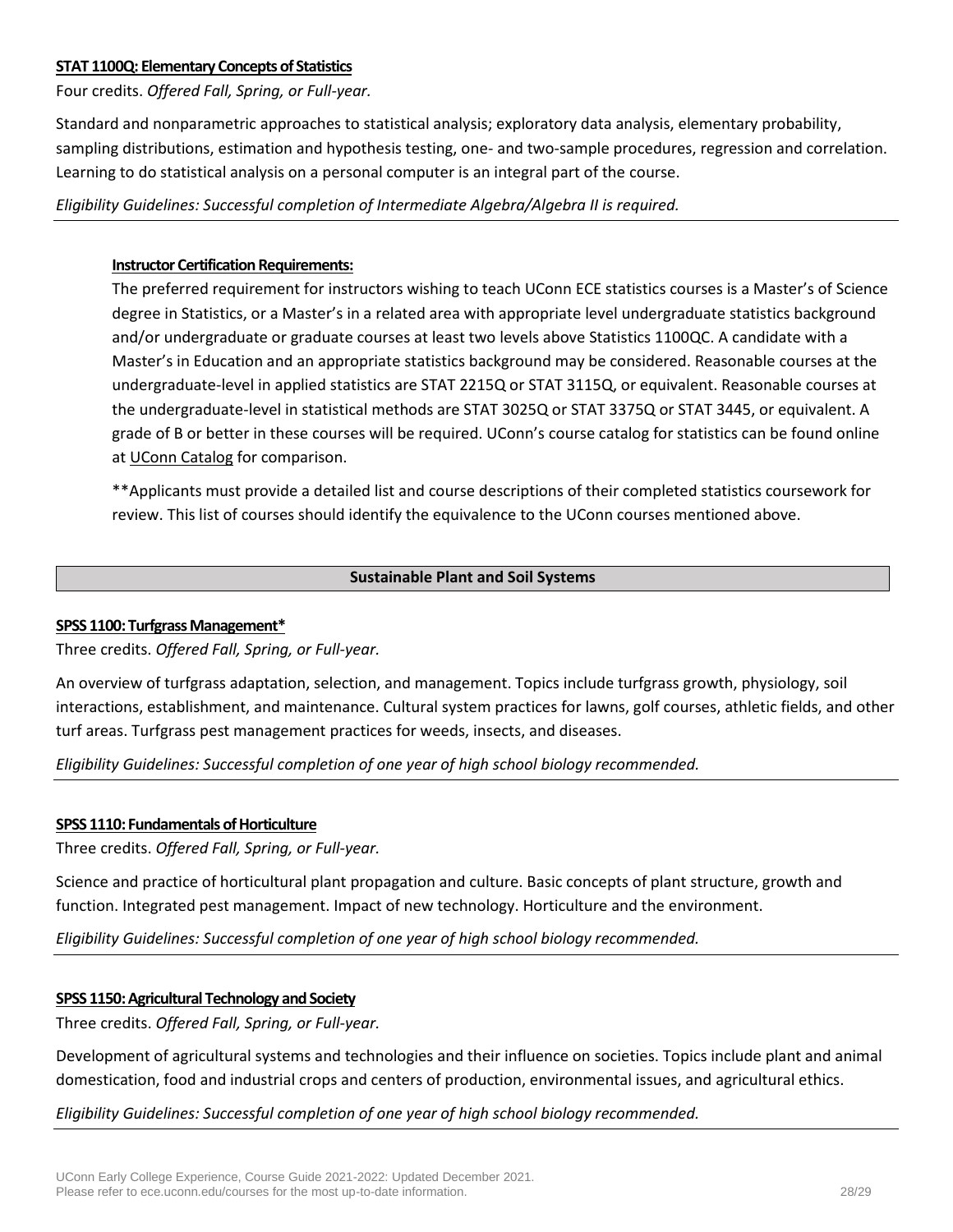### **STAT 1100Q: Elementary Concepts of Statistics**

Four credits. *Offered Fall, Spring, or Full-year.*

Standard and nonparametric approaches to statistical analysis; exploratory data analysis, elementary probability, sampling distributions, estimation and hypothesis testing, one- and two-sample procedures, regression and correlation. Learning to do statistical analysis on a personal computer is an integral part of the course.

### *Eligibility Guidelines: Successful completion of Intermediate Algebra/Algebra II is required.*

### **Instructor Certification Requirements:**

The preferred requirement for instructors wishing to teach UConn ECE statistics courses is a Master's of Science degree in Statistics, or a Master's in a related area with appropriate level undergraduate statistics background and/or undergraduate or graduate courses at least two levels above Statistics 1100QC. A candidate with a Master's in Education and an appropriate statistics background may be considered. Reasonable courses at the undergraduate-level in applied statistics are STAT 2215Q or STAT 3115Q, or equivalent. Reasonable courses at the undergraduate-level in statistical methods are STAT 3025Q or STAT 3375Q or STAT 3445, or equivalent. A grade of B or better in these courses will be required. UConn's course catalog for statistics can be found online at [UConn Catalog](http://catalog.uconn.edu/stat/) for comparison.

\*\*Applicants must provide a detailed list and course descriptions of their completed statistics coursework for review. This list of courses should identify the equivalence to the UConn courses mentioned above.

# **Sustainable Plant and Soil Systems**

### **SPSS 1100: Turfgrass Management\***

Three credits. *Offered Fall, Spring, or Full-year.*

An overview of turfgrass adaptation, selection, and management. Topics include turfgrass growth, physiology, soil interactions, establishment, and maintenance. Cultural system practices for lawns, golf courses, athletic fields, and other turf areas. Turfgrass pest management practices for weeds, insects, and diseases.

*Eligibility Guidelines: Successful completion of one year of high school biology recommended.*

### **SPSS 1110: Fundamentals of Horticulture**

Three credits. *Offered Fall, Spring, or Full-year.*

Science and practice of horticultural plant propagation and culture. Basic concepts of plant structure, growth and function. Integrated pest management. Impact of new technology. Horticulture and the environment.

*Eligibility Guidelines: Successful completion of one year of high school biology recommended.*

### **SPSS 1150: Agricultural Technology and Society**

Three credits. *Offered Fall, Spring, or Full-year.*

Development of agricultural systems and technologies and their influence on societies. Topics include plant and animal domestication, food and industrial crops and centers of production, environmental issues, and agricultural ethics.

*Eligibility Guidelines: Successful completion of one year of high school biology recommended.*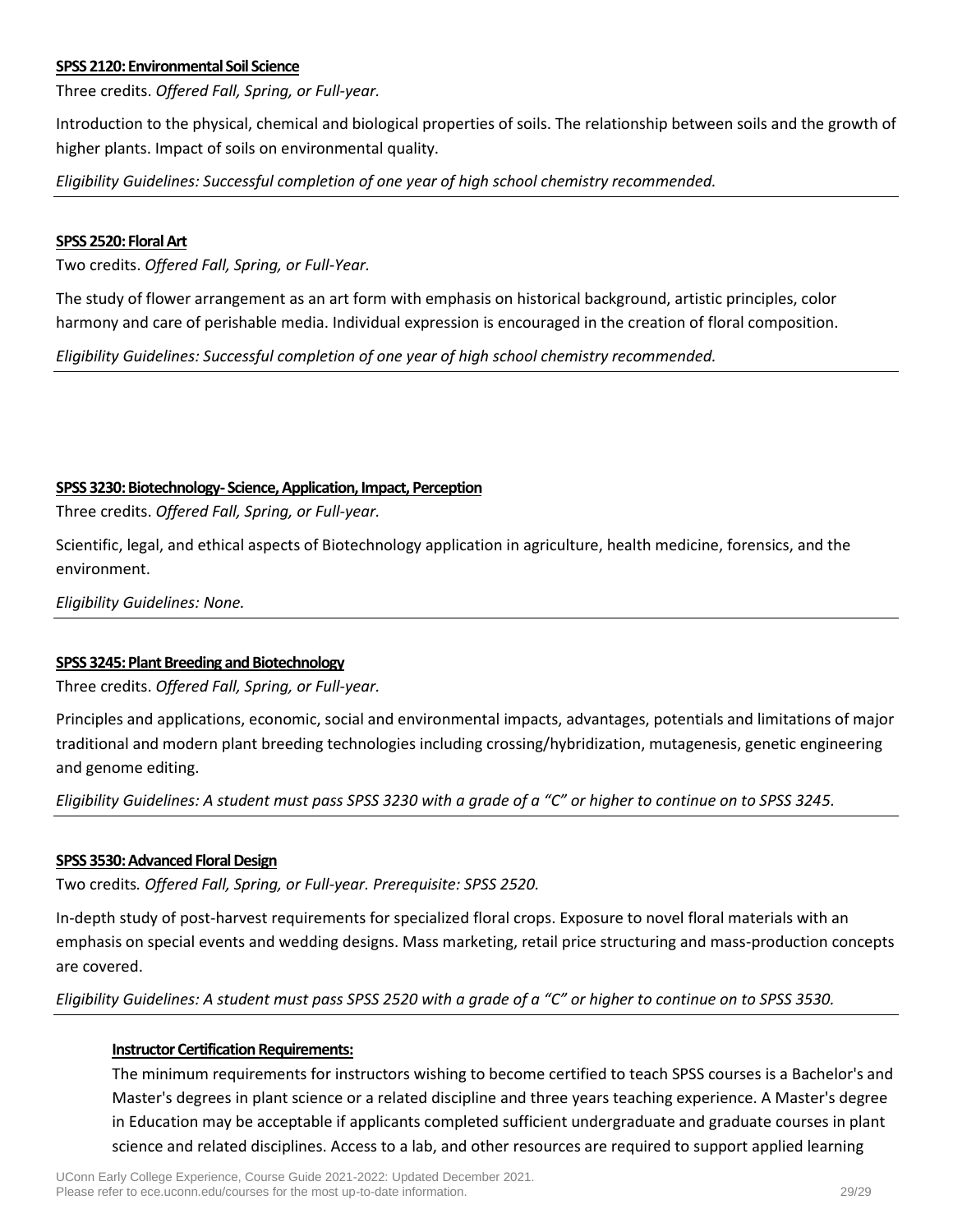### **SPSS 2120: Environmental Soil Science**

Three credits. *Offered Fall, Spring, or Full-year.*

Introduction to the physical, chemical and biological properties of soils. The relationship between soils and the growth of higher plants. Impact of soils on environmental quality.

*Eligibility Guidelines: Successful completion of one year of high school chemistry recommended.*

#### **SPSS 2520: Floral Art**

Two credits. *Offered Fall, Spring, or Full-Year.*

The study of flower arrangement as an art form with emphasis on historical background, artistic principles, color harmony and care of perishable media. Individual expression is encouraged in the creation of floral composition.

*Eligibility Guidelines: Successful completion of one year of high school chemistry recommended.*

#### **SPSS 3230: Biotechnology- Science, Application, Impact, Perception**

Three credits. *Offered Fall, Spring, or Full-year.*

Scientific, legal, and ethical aspects of Biotechnology application in agriculture, health medicine, forensics, and the environment.

*Eligibility Guidelines: None.*

### **SPSS 3245: Plant Breeding and Biotechnology**

Three credits. *Offered Fall, Spring, or Full-year.*

Principles and applications, economic, social and environmental impacts, advantages, potentials and limitations of major traditional and modern plant breeding technologies including crossing/hybridization, mutagenesis, genetic engineering and genome editing.

*Eligibility Guidelines: A student must pass SPSS 3230 with a grade of a "C" or higher to continue on to SPSS 3245.*

### **SPSS 3530: Advanced Floral Design**

Two credits*. Offered Fall, Spring, or Full-year. Prerequisite: SPSS 2520.*

In-depth study of post-harvest requirements for specialized floral crops. Exposure to novel floral materials with an emphasis on special events and wedding designs. Mass marketing, retail price structuring and mass-production concepts are covered.

*Eligibility Guidelines: A student must pass SPSS 2520 with a grade of a "C" or higher to continue on to SPSS 3530.*

### **Instructor Certification Requirements:**

The minimum requirements for instructors wishing to become certified to teach SPSS courses is a Bachelor's and Master's degrees in plant science or a related discipline and three years teaching experience. A Master's degree in Education may be acceptable if applicants completed sufficient undergraduate and graduate courses in plant science and related disciplines. Access to a lab, and other resources are required to support applied learning